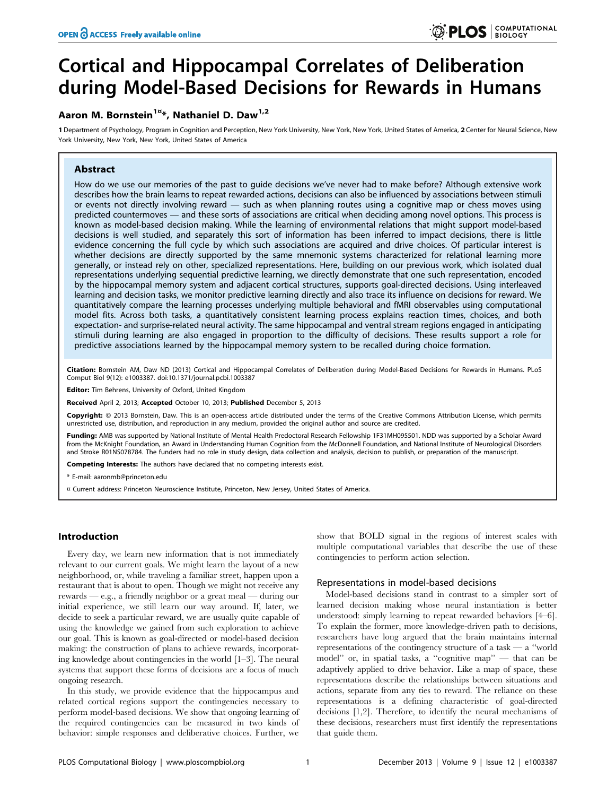# Cortical and Hippocampal Correlates of Deliberation during Model-Based Decisions for Rewards in Humans

# Aaron M. Bornstein<sup>1 $x$ </sup>\*, Nathaniel D. Daw<sup>1,2</sup>

1 Department of Psychology, Program in Cognition and Perception, New York University, New York, New York, United States of America, 2 Center for Neural Science, New York University, New York, New York, United States of America

# Abstract

How do we use our memories of the past to guide decisions we've never had to make before? Although extensive work describes how the brain learns to repeat rewarded actions, decisions can also be influenced by associations between stimuli or events not directly involving reward — such as when planning routes using a cognitive map or chess moves using predicted countermoves — and these sorts of associations are critical when deciding among novel options. This process is known as model-based decision making. While the learning of environmental relations that might support model-based decisions is well studied, and separately this sort of information has been inferred to impact decisions, there is little evidence concerning the full cycle by which such associations are acquired and drive choices. Of particular interest is whether decisions are directly supported by the same mnemonic systems characterized for relational learning more generally, or instead rely on other, specialized representations. Here, building on our previous work, which isolated dual representations underlying sequential predictive learning, we directly demonstrate that one such representation, encoded by the hippocampal memory system and adjacent cortical structures, supports goal-directed decisions. Using interleaved learning and decision tasks, we monitor predictive learning directly and also trace its influence on decisions for reward. We quantitatively compare the learning processes underlying multiple behavioral and fMRI observables using computational model fits. Across both tasks, a quantitatively consistent learning process explains reaction times, choices, and both expectation- and surprise-related neural activity. The same hippocampal and ventral stream regions engaged in anticipating stimuli during learning are also engaged in proportion to the difficulty of decisions. These results support a role for predictive associations learned by the hippocampal memory system to be recalled during choice formation.

Citation: Bornstein AM, Daw ND (2013) Cortical and Hippocampal Correlates of Deliberation during Model-Based Decisions for Rewards in Humans. PLoS Comput Biol 9(12): e1003387. doi:10.1371/journal.pcbi.1003387

Editor: Tim Behrens, University of Oxford, United Kingdom

Received April 2, 2013; Accepted October 10, 2013; Published December 5, 2013

Copyright: © 2013 Bornstein, Daw. This is an open-access article distributed under the terms of the Creative Commons Attribution License, which permits unrestricted use, distribution, and reproduction in any medium, provided the original author and source are credited.

Funding: AMB was supported by National Institute of Mental Health Predoctoral Research Fellowship 1F31MH095501. NDD was supported by a Scholar Award from the McKnight Foundation, an Award in Understanding Human Cognition from the McDonnell Foundation, and National Institute of Neurological Disorders<br>and Stroke R01NS078784. The funders had no role in study design, data

Competing Interests: The authors have declared that no competing interests exist.

\* E-mail: aaronmb@princeton.edu

¤ Current address: Princeton Neuroscience Institute, Princeton, New Jersey, United States of America.

# Introduction

Every day, we learn new information that is not immediately relevant to our current goals. We might learn the layout of a new neighborhood, or, while traveling a familiar street, happen upon a restaurant that is about to open. Though we might not receive any rewards — e.g., a friendly neighbor or a great meal — during our initial experience, we still learn our way around. If, later, we decide to seek a particular reward, we are usually quite capable of using the knowledge we gained from such exploration to achieve our goal. This is known as goal-directed or model-based decision making: the construction of plans to achieve rewards, incorporating knowledge about contingencies in the world [1–3]. The neural systems that support these forms of decisions are a focus of much ongoing research.

In this study, we provide evidence that the hippocampus and related cortical regions support the contingencies necessary to perform model-based decisions. We show that ongoing learning of the required contingencies can be measured in two kinds of behavior: simple responses and deliberative choices. Further, we

show that BOLD signal in the regions of interest scales with multiple computational variables that describe the use of these contingencies to perform action selection.

#### Representations in model-based decisions

Model-based decisions stand in contrast to a simpler sort of learned decision making whose neural instantiation is better understood: simply learning to repeat rewarded behaviors [4–6]. To explain the former, more knowledge-driven path to decisions, researchers have long argued that the brain maintains internal representations of the contingency structure of a task — a ''world model'' or, in spatial tasks, a ''cognitive map'' — that can be adaptively applied to drive behavior. Like a map of space, these representations describe the relationships between situations and actions, separate from any ties to reward. The reliance on these representations is a defining characteristic of goal-directed decisions [1,2]. Therefore, to identify the neural mechanisms of these decisions, researchers must first identify the representations that guide them.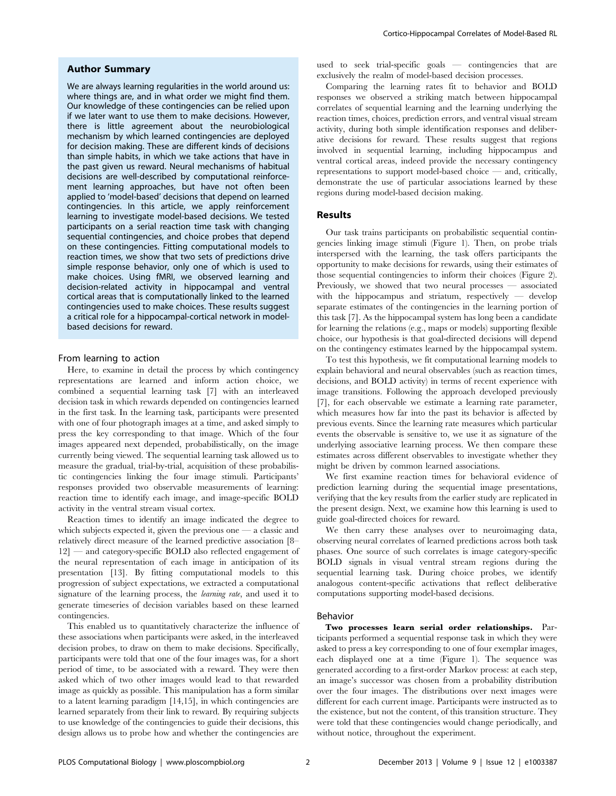# Author Summary

We are always learning regularities in the world around us: where things are, and in what order we might find them. Our knowledge of these contingencies can be relied upon if we later want to use them to make decisions. However, there is little agreement about the neurobiological mechanism by which learned contingencies are deployed for decision making. These are different kinds of decisions than simple habits, in which we take actions that have in the past given us reward. Neural mechanisms of habitual decisions are well-described by computational reinforcement learning approaches, but have not often been applied to 'model-based' decisions that depend on learned contingencies. In this article, we apply reinforcement learning to investigate model-based decisions. We tested participants on a serial reaction time task with changing sequential contingencies, and choice probes that depend on these contingencies. Fitting computational models to reaction times, we show that two sets of predictions drive simple response behavior, only one of which is used to make choices. Using fMRI, we observed learning and decision-related activity in hippocampal and ventral cortical areas that is computationally linked to the learned contingencies used to make choices. These results suggest a critical role for a hippocampal-cortical network in modelbased decisions for reward.

# From learning to action

Here, to examine in detail the process by which contingency representations are learned and inform action choice, we combined a sequential learning task [7] with an interleaved decision task in which rewards depended on contingencies learned in the first task. In the learning task, participants were presented with one of four photograph images at a time, and asked simply to press the key corresponding to that image. Which of the four images appeared next depended, probabilistically, on the image currently being viewed. The sequential learning task allowed us to measure the gradual, trial-by-trial, acquisition of these probabilistic contingencies linking the four image stimuli. Participants' responses provided two observable measurements of learning: reaction time to identify each image, and image-specific BOLD activity in the ventral stream visual cortex.

Reaction times to identify an image indicated the degree to which subjects expected it, given the previous one  $\sim$  a classic and relatively direct measure of the learned predictive association [8– 12] — and category-specific BOLD also reflected engagement of the neural representation of each image in anticipation of its presentation [13]. By fitting computational models to this progression of subject expectations, we extracted a computational signature of the learning process, the learning rate, and used it to generate timeseries of decision variables based on these learned contingencies.

This enabled us to quantitatively characterize the influence of these associations when participants were asked, in the interleaved decision probes, to draw on them to make decisions. Specifically, participants were told that one of the four images was, for a short period of time, to be associated with a reward. They were then asked which of two other images would lead to that rewarded image as quickly as possible. This manipulation has a form similar to a latent learning paradigm [14,15], in which contingencies are learned separately from their link to reward. By requiring subjects to use knowledge of the contingencies to guide their decisions, this design allows us to probe how and whether the contingencies are

used to seek trial-specific goals — contingencies that are exclusively the realm of model-based decision processes.

Comparing the learning rates fit to behavior and BOLD responses we observed a striking match between hippocampal correlates of sequential learning and the learning underlying the reaction times, choices, prediction errors, and ventral visual stream activity, during both simple identification responses and deliberative decisions for reward. These results suggest that regions involved in sequential learning, including hippocampus and ventral cortical areas, indeed provide the necessary contingency representations to support model-based choice — and, critically, demonstrate the use of particular associations learned by these regions during model-based decision making.

## Results

Our task trains participants on probabilistic sequential contingencies linking image stimuli (Figure 1). Then, on probe trials interspersed with the learning, the task offers participants the opportunity to make decisions for rewards, using their estimates of those sequential contingencies to inform their choices (Figure 2). Previously, we showed that two neural processes — associated with the hippocampus and striatum, respectively — develop separate estimates of the contingencies in the learning portion of this task [7]. As the hippocampal system has long been a candidate for learning the relations (e.g., maps or models) supporting flexible choice, our hypothesis is that goal-directed decisions will depend on the contingency estimates learned by the hippocampal system.

To test this hypothesis, we fit computational learning models to explain behavioral and neural observables (such as reaction times, decisions, and BOLD activity) in terms of recent experience with image transitions. Following the approach developed previously [7], for each observable we estimate a learning rate parameter, which measures how far into the past its behavior is affected by previous events. Since the learning rate measures which particular events the observable is sensitive to, we use it as signature of the underlying associative learning process. We then compare these estimates across different observables to investigate whether they might be driven by common learned associations.

We first examine reaction times for behavioral evidence of prediction learning during the sequential image presentations, verifying that the key results from the earlier study are replicated in the present design. Next, we examine how this learning is used to guide goal-directed choices for reward.

We then carry these analyses over to neuroimaging data, observing neural correlates of learned predictions across both task phases. One source of such correlates is image category-specific BOLD signals in visual ventral stream regions during the sequential learning task. During choice probes, we identify analogous content-specific activations that reflect deliberative computations supporting model-based decisions.

## Behavior

Two processes learn serial order relationships. Participants performed a sequential response task in which they were asked to press a key corresponding to one of four exemplar images, each displayed one at a time (Figure 1). The sequence was generated according to a first-order Markov process: at each step, an image's successor was chosen from a probability distribution over the four images. The distributions over next images were different for each current image. Participants were instructed as to the existence, but not the content, of this transition structure. They were told that these contingencies would change periodically, and without notice, throughout the experiment.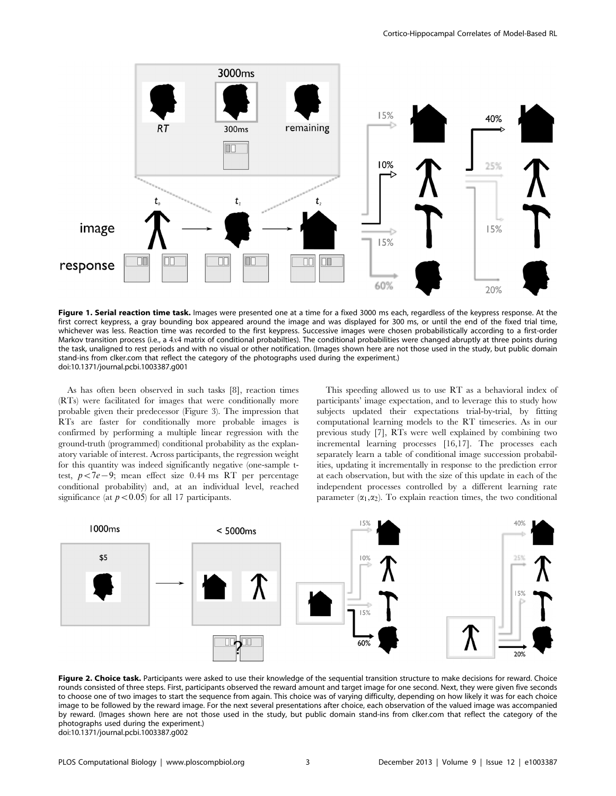

Figure 1. Serial reaction time task. Images were presented one at a time for a fixed 3000 ms each, regardless of the keypress response. At the first correct keypress, a gray bounding box appeared around the image and was displayed for 300 ms, or until the end of the fixed trial time, whichever was less. Reaction time was recorded to the first keypress. Successive images were chosen probabilistically according to a first-order Markov transition process (i.e., a 4x4 matrix of conditional probabilties). The conditional probabilities were changed abruptly at three points during the task, unaligned to rest periods and with no visual or other notification. (Images shown here are not those used in the study, but public domain stand-ins from clker.com that reflect the category of the photographs used during the experiment.) doi:10.1371/journal.pcbi.1003387.g001

As has often been observed in such tasks [8], reaction times (RTs) were facilitated for images that were conditionally more probable given their predecessor (Figure 3). The impression that RTs are faster for conditionally more probable images is confirmed by performing a multiple linear regression with the ground-truth (programmed) conditional probability as the explanatory variable of interest. Across participants, the regression weight for this quantity was indeed significantly negative (one-sample ttest,  $p < 7e-9$ ; mean effect size 0.44 ms RT per percentage conditional probability) and, at an individual level, reached significance (at  $p<0.05$ ) for all 17 participants.

This speeding allowed us to use RT as a behavioral index of participants' image expectation, and to leverage this to study how subjects updated their expectations trial-by-trial, by fitting computational learning models to the RT timeseries. As in our previous study [7], RTs were well explained by combining two incremental learning processes [16,17]. The processes each separately learn a table of conditional image succession probabilities, updating it incrementally in response to the prediction error at each observation, but with the size of this update in each of the independent processes controlled by a different learning rate parameter  $(\alpha_1,\alpha_2)$ . To explain reaction times, the two conditional



Figure 2. Choice task. Participants were asked to use their knowledge of the sequential transition structure to make decisions for reward. Choice rounds consisted of three steps. First, participants observed the reward amount and target image for one second. Next, they were given five seconds to choose one of two images to start the sequence from again. This choice was of varying difficulty, depending on how likely it was for each choice image to be followed by the reward image. For the next several presentations after choice, each observation of the valued image was accompanied by reward. (Images shown here are not those used in the study, but public domain stand-ins from clker.com that reflect the category of the photographs used during the experiment.) doi:10.1371/journal.pcbi.1003387.g002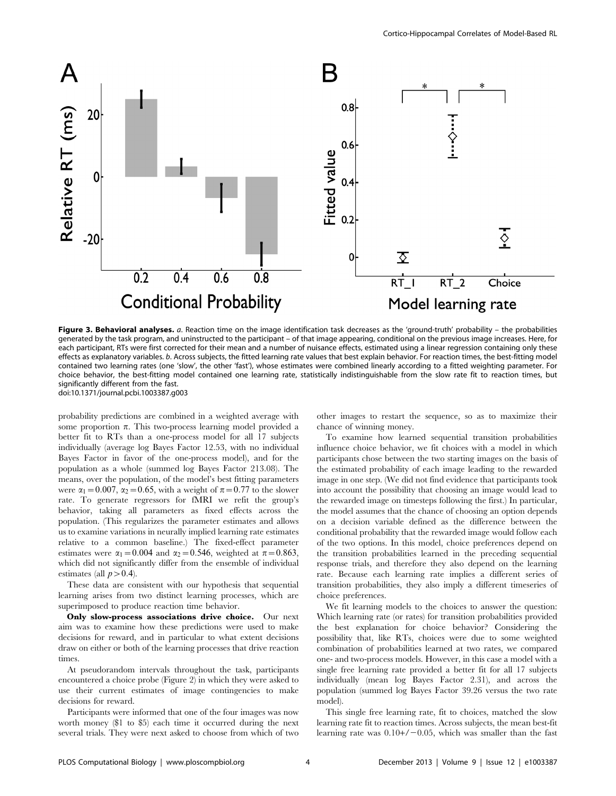

Figure 3. Behavioral analyses. a. Reaction time on the image identification task decreases as the 'ground-truth' probability - the probabilities generated by the task program, and uninstructed to the participant – of that image appearing, conditional on the previous image increases. Here, for each participant, RTs were first corrected for their mean and a number of nuisance effects, estimated using a linear regression containing only these effects as explanatory variables. b. Across subjects, the fitted learning rate values that best explain behavior. For reaction times, the best-fitting model contained two learning rates (one 'slow', the other 'fast'), whose estimates were combined linearly according to a fitted weighting parameter. For choice behavior, the best-fitting model contained one learning rate, statistically indistinguishable from the slow rate fit to reaction times, but significantly different from the fast. doi:10.1371/journal.pcbi.1003387.g003

probability predictions are combined in a weighted average with some proportion  $\pi$ . This two-process learning model provided a better fit to RTs than a one-process model for all 17 subjects individually (average log Bayes Factor 12.53, with no individual Bayes Factor in favor of the one-process model), and for the population as a whole (summed log Bayes Factor 213.08). The means, over the population, of the model's best fitting parameters were  $\alpha_1=0.007$ ,  $\alpha_2=0.65$ , with a weight of  $\pi=0.77$  to the slower rate. To generate regressors for fMRI we refit the group's behavior, taking all parameters as fixed effects across the population. (This regularizes the parameter estimates and allows us to examine variations in neurally implied learning rate estimates relative to a common baseline.) The fixed-effect parameter estimates were  $\alpha_1=0.004$  and  $\alpha_2=0.546$ , weighted at  $\pi=0.863$ , which did not significantly differ from the ensemble of individual estimates (all  $p > 0.4$ ).

These data are consistent with our hypothesis that sequential learning arises from two distinct learning processes, which are superimposed to produce reaction time behavior.

Only slow-process associations drive choice. Our next aim was to examine how these predictions were used to make decisions for reward, and in particular to what extent decisions draw on either or both of the learning processes that drive reaction times.

At pseudorandom intervals throughout the task, participants encountered a choice probe (Figure 2) in which they were asked to use their current estimates of image contingencies to make decisions for reward.

Participants were informed that one of the four images was now worth money (\$1 to \$5) each time it occurred during the next several trials. They were next asked to choose from which of two other images to restart the sequence, so as to maximize their chance of winning money.

To examine how learned sequential transition probabilities influence choice behavior, we fit choices with a model in which participants chose between the two starting images on the basis of the estimated probability of each image leading to the rewarded image in one step. (We did not find evidence that participants took into account the possibility that choosing an image would lead to the rewarded image on timesteps following the first.) In particular, the model assumes that the chance of choosing an option depends on a decision variable defined as the difference between the conditional probability that the rewarded image would follow each of the two options. In this model, choice preferences depend on the transition probabilities learned in the preceding sequential response trials, and therefore they also depend on the learning rate. Because each learning rate implies a different series of transition probabilities, they also imply a different timeseries of choice preferences.

We fit learning models to the choices to answer the question: Which learning rate (or rates) for transition probabilities provided the best explanation for choice behavior? Considering the possibility that, like RTs, choices were due to some weighted combination of probabilities learned at two rates, we compared one- and two-process models. However, in this case a model with a single free learning rate provided a better fit for all 17 subjects individually (mean log Bayes Factor 2.31), and across the population (summed log Bayes Factor 39.26 versus the two rate model).

This single free learning rate, fit to choices, matched the slow learning rate fit to reaction times. Across subjects, the mean best-fit learning rate was  $0.10+/-0.05$ , which was smaller than the fast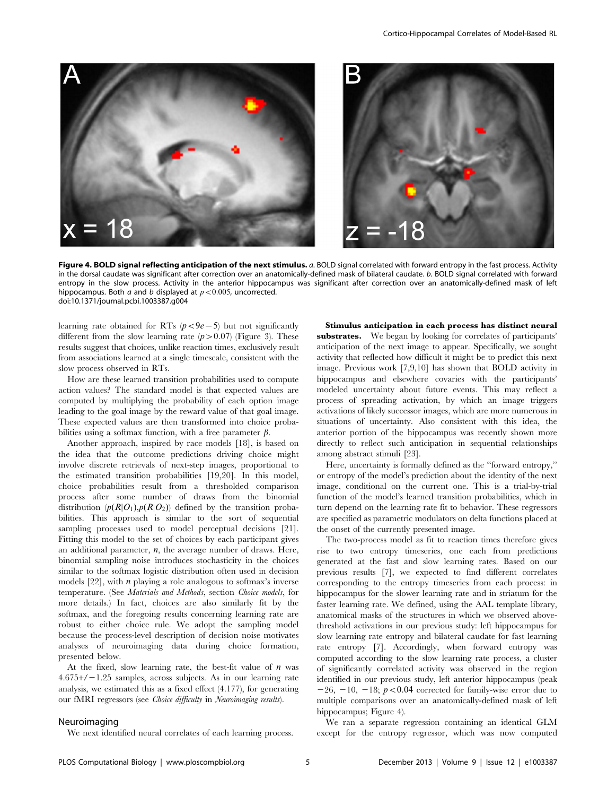

Figure 4. BOLD signal reflecting anticipation of the next stimulus. a. BOLD signal correlated with forward entropy in the fast process. Activity in the dorsal caudate was significant after correction over an anatomically-defined mask of bilateral caudate. b. BOLD signal correlated with forward entropy in the slow process. Activity in the anterior hippocampus was significant after correction over an anatomically-defined mask of left hippocampus. Both a and b displayed at  $p < 0.005$ , uncorrected. doi:10.1371/journal.pcbi.1003387.g004

learning rate obtained for RTs  $(p<9e{-}5)$  but not significantly different from the slow learning rate  $(p>0.07)$  (Figure 3). These results suggest that choices, unlike reaction times, exclusively result from associations learned at a single timescale, consistent with the slow process observed in RTs.

How are these learned transition probabilities used to compute action values? The standard model is that expected values are computed by multiplying the probability of each option image leading to the goal image by the reward value of that goal image. These expected values are then transformed into choice probabilities using a softmax function, with a free parameter  $\beta$ .

Another approach, inspired by race models [18], is based on the idea that the outcome predictions driving choice might involve discrete retrievals of next-step images, proportional to the estimated transition probabilities [19,20]. In this model, choice probabilities result from a thresholded comparison process after some number of draws from the binomial distribution  $(p(R|O_1), p(R|O_2))$  defined by the transition probabilities. This approach is similar to the sort of sequential sampling processes used to model perceptual decisions [21]. Fitting this model to the set of choices by each participant gives an additional parameter,  $n$ , the average number of draws. Here, binomial sampling noise introduces stochasticity in the choices similar to the softmax logistic distribution often used in decision models  $[22]$ , with  $n$  playing a role analogous to softmax's inverse temperature. (See Materials and Methods, section Choice models, for more details.) In fact, choices are also similarly fit by the softmax, and the foregoing results concerning learning rate are robust to either choice rule. We adopt the sampling model because the process-level description of decision noise motivates analyses of neuroimaging data during choice formation, presented below.

At the fixed, slow learning rate, the best-fit value of  $n$  was  $4.675+/-1.25$  samples, across subjects. As in our learning rate analysis, we estimated this as a fixed effect (4.177), for generating our fMRI regressors (see *Choice difficulty* in *Neuroimaging results*).

#### Neuroimaging

We next identified neural correlates of each learning process.

Stimulus anticipation in each process has distinct neural substrates. We began by looking for correlates of participants' anticipation of the next image to appear. Specifically, we sought activity that reflected how difficult it might be to predict this next image. Previous work [7,9,10] has shown that BOLD activity in hippocampus and elsewhere covaries with the participants' modeled uncertainty about future events. This may reflect a process of spreading activation, by which an image triggers activations of likely successor images, which are more numerous in situations of uncertainty. Also consistent with this idea, the anterior portion of the hippocampus was recently shown more directly to reflect such anticipation in sequential relationships among abstract stimuli [23].

Here, uncertainty is formally defined as the ''forward entropy,'' or entropy of the model's prediction about the identity of the next image, conditional on the current one. This is a trial-by-trial function of the model's learned transition probabilities, which in turn depend on the learning rate fit to behavior. These regressors are specified as parametric modulators on delta functions placed at the onset of the currently presented image.

The two-process model as fit to reaction times therefore gives rise to two entropy timeseries, one each from predictions generated at the fast and slow learning rates. Based on our previous results [7], we expected to find different correlates corresponding to the entropy timeseries from each process: in hippocampus for the slower learning rate and in striatum for the faster learning rate. We defined, using the AAL template library, anatomical masks of the structures in which we observed abovethreshold activations in our previous study: left hippocampus for slow learning rate entropy and bilateral caudate for fast learning rate entropy [7]. Accordingly, when forward entropy was computed according to the slow learning rate process, a cluster of significantly correlated activity was observed in the region identified in our previous study, left anterior hippocampus (peak  $-26$ ,  $-10$ ,  $-18$ ;  $p < 0.04$  corrected for family-wise error due to multiple comparisons over an anatomically-defined mask of left hippocampus; Figure 4).

We ran a separate regression containing an identical GLM except for the entropy regressor, which was now computed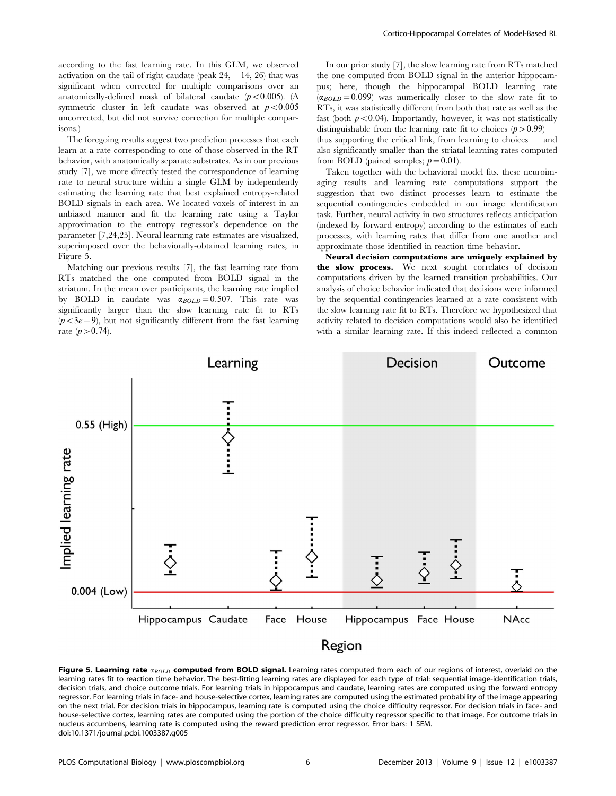according to the fast learning rate. In this GLM, we observed activation on the tail of right caudate (peak  $24, -14, 26$ ) that was significant when corrected for multiple comparisons over an anatomically-defined mask of bilateral caudate  $(p<0.005)$ . (A symmetric cluster in left caudate was observed at  $p < 0.005$ uncorrected, but did not survive correction for multiple comparisons.)

The foregoing results suggest two prediction processes that each learn at a rate corresponding to one of those observed in the RT behavior, with anatomically separate substrates. As in our previous study [7], we more directly tested the correspondence of learning rate to neural structure within a single GLM by independently estimating the learning rate that best explained entropy-related BOLD signals in each area. We located voxels of interest in an unbiased manner and fit the learning rate using a Taylor approximation to the entropy regressor's dependence on the parameter [7,24,25]. Neural learning rate estimates are visualized, superimposed over the behaviorally-obtained learning rates, in Figure 5.

Matching our previous results [7], the fast learning rate from RTs matched the one computed from BOLD signal in the striatum. In the mean over participants, the learning rate implied by BOLD in caudate was  $\alpha_{BOLD}=0.507$ . This rate was significantly larger than the slow learning rate fit to RTs  $(p<3e-9)$ , but not significantly different from the fast learning rate  $(p > 0.74)$ .

In our prior study [7], the slow learning rate from RTs matched the one computed from BOLD signal in the anterior hippocampus; here, though the hippocampal BOLD learning rate  $(\alpha_{BOLD}=0.099)$  was numerically closer to the slow rate fit to RTs, it was statistically different from both that rate as well as the fast (both  $p<0.04$ ). Importantly, however, it was not statistically distinguishable from the learning rate fit to choices  $(p>0.99)$  thus supporting the critical link, from learning to choices — and also significantly smaller than the striatal learning rates computed from BOLD (paired samples;  $p=0.01$ ).

Taken together with the behavioral model fits, these neuroimaging results and learning rate computations support the suggestion that two distinct processes learn to estimate the sequential contingencies embedded in our image identification task. Further, neural activity in two structures reflects anticipation (indexed by forward entropy) according to the estimates of each processes, with learning rates that differ from one another and approximate those identified in reaction time behavior.

Neural decision computations are uniquely explained by the slow process. We next sought correlates of decision computations driven by the learned transition probabilities. Our analysis of choice behavior indicated that decisions were informed by the sequential contingencies learned at a rate consistent with the slow learning rate fit to RTs. Therefore we hypothesized that activity related to decision computations would also be identified with a similar learning rate. If this indeed reflected a common



Figure 5. Learning rate  $\alpha_{BOLD}$  computed from BOLD signal. Learning rates computed from each of our regions of interest, overlaid on the learning rates fit to reaction time behavior. The best-fitting learning rates are displayed for each type of trial: sequential image-identification trials, decision trials, and choice outcome trials. For learning trials in hippocampus and caudate, learning rates are computed using the forward entropy regressor. For learning trials in face- and house-selective cortex, learning rates are computed using the estimated probability of the image appearing on the next trial. For decision trials in hippocampus, learning rate is computed using the choice difficulty regressor. For decision trials in face- and house-selective cortex, learning rates are computed using the portion of the choice difficulty regressor specific to that image. For outcome trials in nucleus accumbens, learning rate is computed using the reward prediction error regressor. Error bars: 1 SEM. doi:10.1371/journal.pcbi.1003387.g005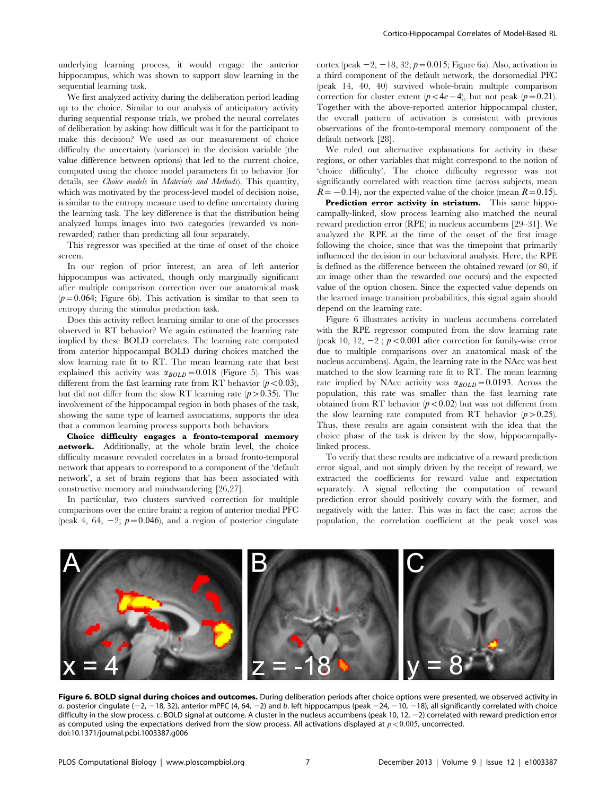underlying learning process, it would engage the anterior hippocampus, which was shown to support slow learning in the sequential learning task.

We first analyzed activity during the deliberation period leading up to the choice. Similar to our analysis of anticipatory activity during sequential response trials, we probed the neural correlates of deliberation by asking: how difficult was it for the participant to make this decision? We used as our measurement of choice difficulty the uncertainty (variance) in the decision variable (the value difference between options) that led to the current choice, computed using the choice model parameters fit to behavior (for details, see *Choice models* in *Materials and Methods*). This quantity, which was motivated by the process-level model of decision noise, is similar to the entropy measure used to define uncertainty during the learning task. The key difference is that the distribution being analyzed lumps images into two categories (rewarded vs nonrewarded) rather than predicting all four separately.

This regressor was specified at the time of onset of the choice screen.

In our region of prior interest, an area of left anterior hippocampus was activated, though only marginally significant after multiple comparison correction over our anatomical mask  $(p=0.064;$  Figure 6b). This activation is similar to that seen to entropy during the stimulus prediction task.

Does this activity reflect learning similar to one of the processes observed in RT behavior? We again estimated the learning rate implied by these BOLD correlates. The learning rate computed from anterior hippocampal BOLD during choices matched the slow learning rate fit to RT. The mean learning rate that best explained this activity was  $\alpha_{BOLD}=0.018$  (Figure 5). This was different from the fast learning rate from RT behavior  $(p<0.03)$ , but did not differ from the slow RT learning rate  $(p>0.35)$ . The involvement of the hippocampal region in both phases of the task, showing the same type of learned associations, supports the idea that a common learning process supports both behaviors.

Choice difficulty engages a fronto-temporal memory network. Additionally, at the whole brain level, the choice difficulty measure revealed correlates in a broad fronto-temporal network that appears to correspond to a component of the 'default network', a set of brain regions that has been associated with constructive memory and mindwandering [26,27].

In particular, two clusters survived correction for multiple comparisons over the entire brain: a region of anterior medial PFC (peak 4, 64, -2;  $p=0.046$ ), and a region of posterior cingulate

cortex (peak  $-2$ ,  $-18$ , 32;  $p=0.015$ ; Figure 6a). Also, activation in a third component of the default network, the dorsomedial PFC (peak 14, 40, 40) survived whole-brain multiple comparison correction for cluster extent ( $p<4e-4$ ), but not peak ( $p=0.21$ ). Together with the above-reported anterior hippocampal cluster, the overall pattern of activation is consistent with previous observations of the fronto-temporal memory component of the default network [28].

We ruled out alternative explanations for activity in these regions, or other variables that might correspond to the notion of 'choice difficulty'. The choice difficulty regressor was not significantly correlated with reaction time (across subjects, mean  $R={-0.14}$ , nor the expected value of the choice (mean  $R={0.15}$ ).

Prediction error activity in striatum. This same hippocampally-linked, slow process learning also matched the neural reward prediction error (RPE) in nucleus accumbens [29–31]. We analyzed the RPE at the time of the onset of the first image following the choice, since that was the timepoint that primarily influenced the decision in our behavioral analysis. Here, the RPE is defined as the difference between the obtained reward (or \$0, if an image other than the rewarded one occurs) and the expected value of the option chosen. Since the expected value depends on the learned image transition probabilities, this signal again should depend on the learning rate.

Figure 6 illustrates activity in nucleus accumbens correlated with the RPE regressor computed from the slow learning rate (peak 10, 12,  $-2$ ;  $p < 0.001$  after correction for family-wise error due to multiple comparisons over an anatomical mask of the nucleus accumbens). Again, the learning rate in the NAcc was best matched to the slow learning rate fit to RT. The mean learning rate implied by NAcc activity was  $\alpha_{BOLD}=0.0193$ . Across the population, this rate was smaller than the fast learning rate obtained from RT behavior  $(p<0.02)$  but was not different from the slow learning rate computed from RT behavior  $(p>0.25)$ . Thus, these results are again consistent with the idea that the choice phase of the task is driven by the slow, hippocampallylinked process.

To verify that these results are indiciative of a reward prediction error signal, and not simply driven by the receipt of reward, we extracted the coefficients for reward value and expectation separately. A signal reflecting the computation of reward prediction error should positively covary with the former, and negatively with the latter. This was in fact the case: across the population, the correlation coefficient at the peak voxel was



Figure 6. BOLD signal during choices and outcomes. During deliberation periods after choice options were presented, we observed activity in a. posterior cingulate ( $-2$ ,  $-18$ , 32), anterior mPFC (4, 64,  $-2$ ) and b. left hippocampus (peak  $-24$ ,  $-10$ ,  $-18$ ), all significantly correlated with choice difficulty in the slow process. c. BOLD signal at outcome. A cluster in the nucleus accumbens (peak 10, 12,  $-2$ ) correlated with reward prediction error as computed using the expectations derived from the slow process. All activations displayed at  $p<0.005$ , uncorrected. doi:10.1371/journal.pcbi.1003387.g006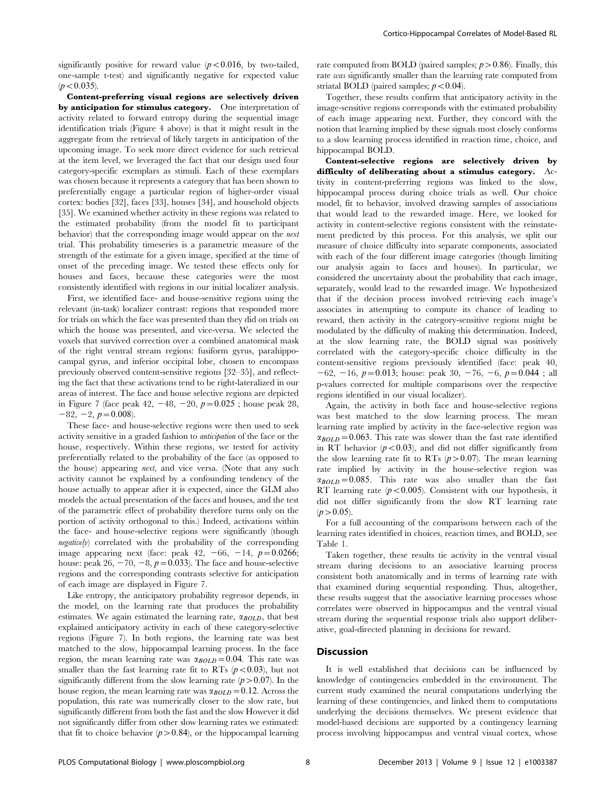significantly positive for reward value  $(p<0.016$ , by two-tailed, one-sample t-test) and significantly negative for expected value  $(p<0.035)$ .

Content-preferring visual regions are selectively driven by anticipation for stimulus category. One interpretation of activity related to forward entropy during the sequential image identification trials (Figure 4 above) is that it might result in the aggregate from the retrieval of likely targets in anticipation of the upcoming image. To seek more direct evidence for such retrieval at the item level, we leveraged the fact that our design used four category-specific exemplars as stimuli. Each of these exemplars was chosen because it represents a category that has been shown to preferentially engage a particular region of higher-order visual cortex: bodies [32], faces [33], houses [34], and household objects [35]. We examined whether activity in these regions was related to the estimated probability (from the model fit to participant behavior) that the corresponding image would appear on the next trial. This probability timeseries is a parametric measure of the strength of the estimate for a given image, specified at the time of onset of the preceding image. We tested these effects only for houses and faces, because these categories were the most consistently identified with regions in our initial localizer analysis.

First, we identified face- and house-sensitive regions using the relevant (in-task) localizer contrast: regions that responded more for trials on which the face was presented than they did on trials on which the house was presented, and vice-versa. We selected the voxels that survived correction over a combined anatomical mask of the right ventral stream regions: fusiform gyrus, parahippocampal gyrus, and inferior occipital lobe, chosen to encompass previously observed content-sensitive regions [32–35], and reflecting the fact that these activations tend to be right-lateralized in our areas of interest. The face and house selective regions are depicted in Figure 7 (face peak 42,  $-48$ ,  $-20$ ,  $p=0.025$ ; house peak 28,  $-82, -2, p=0.008$ .

These face- and house-selective regions were then used to seek activity sensitive in a graded fashion to anticipation of the face or the house, respectively. Within these regions, we tested for activity preferentially related to the probability of the face (as opposed to the house) appearing next, and vice versa. (Note that any such activity cannot be explained by a confounding tendency of the house actually to appear after it is expected, since the GLM also models the actual presentation of the faces and houses, and the test of the parametric effect of probability therefore turns only on the portion of activity orthogonal to this.) Indeed, activations within the face- and house-selective regions were significantly (though negatively) correlated with the probability of the corresponding image appearing next (face: peak 42,  $-66$ ,  $-14$ ,  $p=0.0266$ ; house: peak  $26, -70, -8, p=0.033$ . The face and house-selective regions and the corresponding contrasts selective for anticipation of each image are displayed in Figure 7.

Like entropy, the anticipatory probability regressor depends, in the model, on the learning rate that produces the probability estimates. We again estimated the learning rate,  $\alpha_{BOLD}$ , that best explained anticipatory activity in each of these category-selective regions (Figure 7). In both regions, the learning rate was best matched to the slow, hippocampal learning process. In the face region, the mean learning rate was  $\alpha_{BOLD}=0.04$ . This rate was smaller than the fast learning rate fit to RTs  $(p<0.03)$ , but not significantly different from the slow learning rate  $(p>0.07)$ . In the house region, the mean learning rate was  $\alpha_{BOLD}=0.12$ . Across the population, this rate was numerically closer to the slow rate, but significantly different from both the fast and the slow However it did not significantly differ from other slow learning rates we estimated: that fit to choice behavior  $(p>0.84)$ , or the hippocampal learning rate computed from BOLD (paired samples;  $p > 0.86$ ). Finally, this rate was significantly smaller than the learning rate computed from striatal BOLD (paired samples;  $p < 0.04$ ).

Together, these results confirm that anticipatory activity in the image-sensitive regions corresponds with the estimated probability of each image appearing next. Further, they concord with the notion that learning implied by these signals most closely conforms to a slow learning process identified in reaction time, choice, and hippocampal BOLD.

Content-selective regions are selectively driven by difficulty of deliberating about a stimulus category. Activity in content-preferring regions was linked to the slow, hippocampal process during choice trials as well. Our choice model, fit to behavior, involved drawing samples of associations that would lead to the rewarded image. Here, we looked for activity in content-selective regions consistent with the reinstatement predicted by this process. For this analysis, we split our measure of choice difficulty into separate components, associated with each of the four different image categories (though limiting our analysis again to faces and houses). In particular, we considered the uncertainty about the probability that each image, separately, would lead to the rewarded image. We hypothesized that if the decision process involved retrieving each image's associates in attempting to compute its chance of leading to reward, then activity in the category-sensitive regions might be modulated by the difficulty of making this determination. Indeed, at the slow learning rate, the BOLD signal was positively correlated with the category-specific choice difficulty in the content-sensitive regions previously identified (face: peak 40,  $-62$ ,  $-16$ ,  $p=0.013$ ; house: peak 30,  $-76$ ,  $-6$ ,  $p=0.044$ ; all p-values corrected for multiple comparisons over the respective regions identified in our visual localizer).

Again, the activity in both face and house-selective regions was best matched to the slow learning process. The mean learning rate implied by activity in the face-selective region was  $\alpha_{BOLD}=0.063$ . This rate was slower than the fast rate identified in RT behavior  $(p<0.03)$ , and did not differ significantly from the slow learning rate fit to RTs  $(p>0.07)$ . The mean learning rate implied by activity in the house-selective region was  $\alpha_{BOLD}$  = 0.085. This rate was also smaller than the fast RT learning rate  $(p<0.005)$ . Consistent with our hypothesis, it did not differ significantly from the slow RT learning rate  $(p>0.05)$ .

For a full accounting of the comparisons between each of the learning rates identified in choices, reaction times, and BOLD, see Table 1.

Taken together, these results tie activity in the ventral visual stream during decisions to an associative learning process consistent both anatomically and in terms of learning rate with that examined during sequential responding. Thus, altogether, these results suggest that the associative learning processes whose correlates were observed in hippocampus and the ventral visual stream during the sequential response trials also support deliberative, goal-directed planning in decisions for reward.

# Discussion

It is well established that decisions can be influenced by knowledge of contingencies embedded in the environment. The current study examined the neural computations underlying the learning of these contingencies, and linked them to computations underlying the decisions themselves. We present evidence that model-based decisions are supported by a contingency learning process involving hippocampus and ventral visual cortex, whose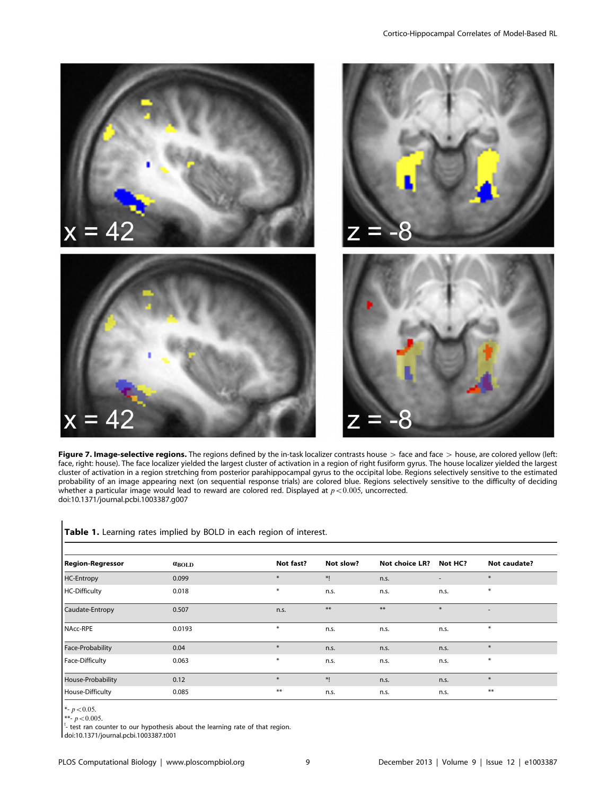

Figure 7. Image-selective regions. The regions defined by the in-task localizer contrasts house > face and face > house, are colored yellow (left: face, right: house). The face localizer yielded the largest cluster of activation in a region of right fusiform gyrus. The house localizer yielded the largest cluster of activation in a region stretching from posterior parahippocampal gyrus to the occipital lobe. Regions selectively sensitive to the estimated probability of an image appearing next (on sequential response trials) are colored blue. Regions selectively sensitive to the difficulty of deciding whether a particular image would lead to reward are colored red. Displayed at  $p<0.005$ , uncorrected. doi:10.1371/journal.pcbi.1003387.g007

# Table 1. Learning rates implied by BOLD in each region of interest.

| Not fast?<br>Not slow?<br>Not choice LR?<br>Not caudate?<br><b>Region-Regressor</b><br>Not HC?<br>$\alpha_{\rm BOLD}$<br><b>HC-Entropy</b><br>$\ast$<br>$\ast$<br>*!<br>0.099<br>n.s.<br><b>HC-Difficulty</b><br>$\ast$<br>$\ast$<br>0.018<br>n.s.<br>n.s.<br>n.s.<br>$***$<br>$***$<br>$\ast$<br>Caudate-Entropy<br>0.507<br>n.s.<br>$\overline{\phantom{a}}$<br>NAcc-RPE<br>$\ast$<br>$\ast$<br>0.0193<br>n.s.<br>n.s.<br>n.s.<br>Face-Probability<br>$\ast$<br>$\ast$<br>0.04<br>n.s.<br>n.s.<br>n.s.<br>$\ast$<br>Face-Difficulty<br>$\ast$<br>0.063<br>n.s.<br>n.s.<br>n.s.<br>House-Probability<br>$\ast$<br>*!<br>$*$<br>0.12<br>n.s.<br>n.s.<br>$***$<br>$***$<br>House-Difficulty<br>0.085<br>n.s.<br>n.s.<br>n.s. |  |  |  |  |
|-----------------------------------------------------------------------------------------------------------------------------------------------------------------------------------------------------------------------------------------------------------------------------------------------------------------------------------------------------------------------------------------------------------------------------------------------------------------------------------------------------------------------------------------------------------------------------------------------------------------------------------------------------------------------------------------------------------------------------|--|--|--|--|
|                                                                                                                                                                                                                                                                                                                                                                                                                                                                                                                                                                                                                                                                                                                             |  |  |  |  |
|                                                                                                                                                                                                                                                                                                                                                                                                                                                                                                                                                                                                                                                                                                                             |  |  |  |  |
|                                                                                                                                                                                                                                                                                                                                                                                                                                                                                                                                                                                                                                                                                                                             |  |  |  |  |
|                                                                                                                                                                                                                                                                                                                                                                                                                                                                                                                                                                                                                                                                                                                             |  |  |  |  |
|                                                                                                                                                                                                                                                                                                                                                                                                                                                                                                                                                                                                                                                                                                                             |  |  |  |  |
|                                                                                                                                                                                                                                                                                                                                                                                                                                                                                                                                                                                                                                                                                                                             |  |  |  |  |
|                                                                                                                                                                                                                                                                                                                                                                                                                                                                                                                                                                                                                                                                                                                             |  |  |  |  |
|                                                                                                                                                                                                                                                                                                                                                                                                                                                                                                                                                                                                                                                                                                                             |  |  |  |  |
|                                                                                                                                                                                                                                                                                                                                                                                                                                                                                                                                                                                                                                                                                                                             |  |  |  |  |

\*-  $p < 0.05$ .

\*\*- $p$  < 0.005.

 $\frac{1}{2}$  test ran counter to our hypothesis about the learning rate of that region.

doi:10.1371/journal.pcbi.1003387.t001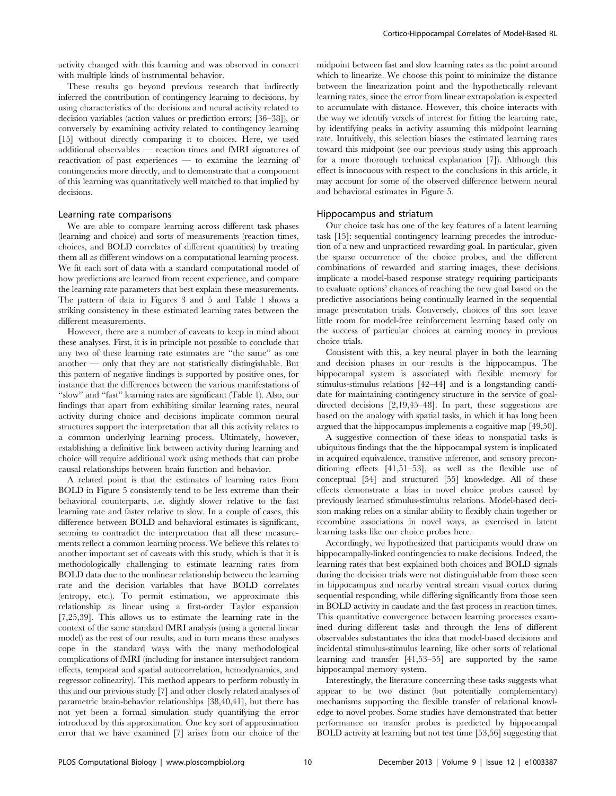activity changed with this learning and was observed in concert with multiple kinds of instrumental behavior.

These results go beyond previous research that indirectly inferred the contribution of contingency learning to decisions, by using characteristics of the decisions and neural activity related to decision variables (action values or prediction errors; [36–38]), or conversely by examining activity related to contingency learning [15] without directly comparing it to choices. Here, we used additional observables — reaction times and fMRI signatures of reactivation of past experiences — to examine the learning of contingencies more directly, and to demonstrate that a component of this learning was quantitatively well matched to that implied by decisions.

## Learning rate comparisons

We are able to compare learning across different task phases (learning and choice) and sorts of measurements (reaction times, choices, and BOLD correlates of different quantities) by treating them all as different windows on a computational learning process. We fit each sort of data with a standard computational model of how predictions are learned from recent experience, and compare the learning rate parameters that best explain these measurements. The pattern of data in Figures 3 and 5 and Table 1 shows a striking consistency in these estimated learning rates between the different measurements.

However, there are a number of caveats to keep in mind about these analyses. First, it is in principle not possible to conclude that any two of these learning rate estimates are ''the same'' as one another  $-$  only that they are not statistically distingishable. But this pattern of negative findings is supported by positive ones, for instance that the differences between the various manifestations of ''slow'' and ''fast'' learning rates are significant (Table 1). Also, our findings that apart from exhibiting similar learning rates, neural activity during choice and decisions implicate common neural structures support the interpretation that all this activity relates to a common underlying learning process. Ultimately, however, establishing a definitive link between activity during learning and choice will require additional work using methods that can probe causal relationships between brain function and behavior.

A related point is that the estimates of learning rates from BOLD in Figure 5 consistently tend to be less extreme than their behavioral counterparts, i.e. slightly slower relative to the fast learning rate and faster relative to slow. In a couple of cases, this difference between BOLD and behavioral estimates is significant, seeming to contradict the interpretation that all these measurements reflect a common learning process. We believe this relates to another important set of caveats with this study, which is that it is methodologically challenging to estimate learning rates from BOLD data due to the nonlinear relationship between the learning rate and the decision variables that have BOLD correlates (entropy, etc.). To permit estimation, we approximate this relationship as linear using a first-order Taylor expansion [7,25,39]. This allows us to estimate the learning rate in the context of the same standard fMRI analysis (using a general linear model) as the rest of our results, and in turn means these analyses cope in the standard ways with the many methodological complications of fMRI (including for instance intersubject random effects, temporal and spatial autocorrelation, hemodynamics, and regressor colinearity). This method appears to perform robustly in this and our previous study [7] and other closely related analyses of parametric brain-behavior relationships [38,40,41], but there has not yet been a formal simulation study quantifying the error introduced by this approximation. One key sort of approximation error that we have examined [7] arises from our choice of the midpoint between fast and slow learning rates as the point around which to linearize. We choose this point to minimize the distance between the linearization point and the hypothetically relevant learning rates, since the error from linear extrapolation is expected to accumulate with distance. However, this choice interacts with the way we identify voxels of interest for fitting the learning rate, by identifying peaks in activity assuming this midpoint learning rate. Intuitively, this selection biases the estimated learning rates toward this midpoint (see our previous study using this approach for a more thorough technical explanation [7]). Although this effect is innocuous with respect to the conclusions in this article, it may account for some of the observed difference between neural and behavioral estimates in Figure 5.

#### Hippocampus and striatum

Our choice task has one of the key features of a latent learning task [15]: sequential contingency learning precedes the introduction of a new and unpracticed rewarding goal. In particular, given the sparse occurrence of the choice probes, and the different combinations of rewarded and starting images, these decisions implicate a model-based response strategy requiring participants to evaluate options' chances of reaching the new goal based on the predictive associations being continually learned in the sequential image presentation trials. Conversely, choices of this sort leave little room for model-free reinforcement learning based only on the success of particular choices at earning money in previous choice trials.

Consistent with this, a key neural player in both the learning and decision phases in our results is the hippocampus. The hippocampal system is associated with flexible memory for stimulus-stimulus relations [42–44] and is a longstanding candidate for maintaining contingency structure in the service of goaldirected decisions [2,19,45–48]. In part, these suggestions are based on the analogy with spatial tasks, in which it has long been argued that the hippocampus implements a cognitive map [49,50].

A suggestive connection of these ideas to nonspatial tasks is ubiquitous findings that the the hippocampal system is implicated in acquired equivalence, transitive inference, and sensory preconditioning effects [41,51–53], as well as the flexible use of conceptual [54] and structured [55] knowledge. All of these effects demonstrate a bias in novel choice probes caused by previously learned stimulus-stimulus relations. Model-based decision making relies on a similar ability to flexibly chain together or recombine associations in novel ways, as exercised in latent learning tasks like our choice probes here.

Accordingly, we hypothesized that participants would draw on hippocampally-linked contingencies to make decisions. Indeed, the learning rates that best explained both choices and BOLD signals during the decision trials were not distinguishable from those seen in hippocampus and nearby ventral stream visual cortex during sequential responding, while differing significantly from those seen in BOLD activity in caudate and the fast process in reaction times. This quantitative convergence between learning processes examined during different tasks and through the lens of different observables substantiates the idea that model-based decisions and incidental stimulus-stimulus learning, like other sorts of relational learning and transfer [41,53–55] are supported by the same hippocampal memory system.

Interestingly, the literature concerning these tasks suggests what appear to be two distinct (but potentially complementary) mechanisms supporting the flexible transfer of relational knowledge to novel probes. Some studies have demonstrated that better performance on transfer probes is predicted by hippocampal BOLD activity at learning but not test time [53,56] suggesting that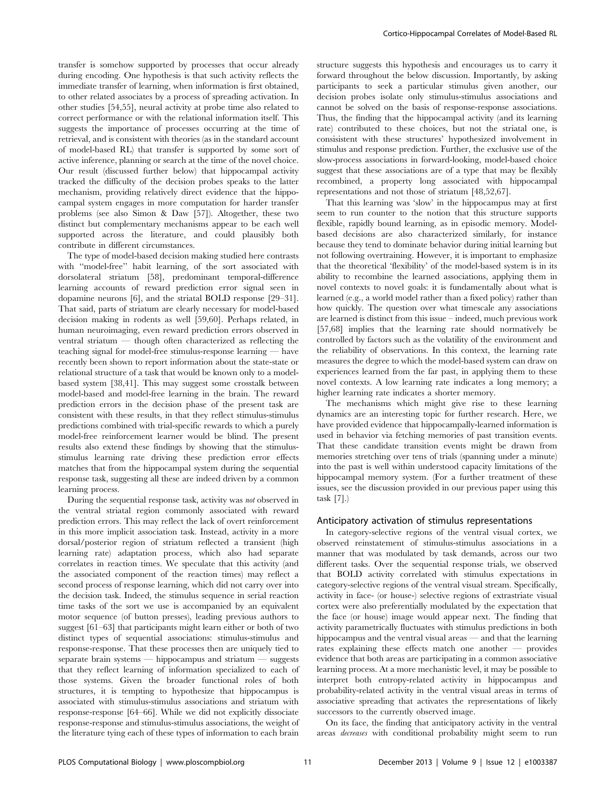transfer is somehow supported by processes that occur already during encoding. One hypothesis is that such activity reflects the immediate transfer of learning, when information is first obtained, to other related associates by a process of spreading activation. In other studies [54,55], neural activity at probe time also related to correct performance or with the relational information itself. This suggests the importance of processes occurring at the time of retrieval, and is consistent with theories (as in the standard account of model-based RL) that transfer is supported by some sort of active inference, planning or search at the time of the novel choice. Our result (discussed further below) that hippocampal activity tracked the difficulty of the decision probes speaks to the latter mechanism, providing relatively direct evidence that the hippocampal system engages in more computation for harder transfer problems (see also Simon & Daw [57]). Altogether, these two distinct but complementary mechanisms appear to be each well supported across the literature, and could plausibly both contribute in different circumstances.

The type of model-based decision making studied here contrasts with ''model-free'' habit learning, of the sort associated with dorsolateral striatum [58], predominant temporal-difference learning accounts of reward prediction error signal seen in dopamine neurons [6], and the striatal BOLD response [29–31]. That said, parts of striatum are clearly necessary for model-based decision making in rodents as well [59,60]. Perhaps related, in human neuroimaging, even reward prediction errors observed in ventral striatum — though often characterized as reflecting the teaching signal for model-free stimulus-response learning — have recently been shown to report information about the state-state or relational structure of a task that would be known only to a modelbased system [38,41]. This may suggest some crosstalk between model-based and model-free learning in the brain. The reward prediction errors in the decision phase of the present task are consistent with these results, in that they reflect stimulus-stimulus predictions combined with trial-specific rewards to which a purely model-free reinforcement learner would be blind. The present results also extend these findings by showing that the stimulusstimulus learning rate driving these prediction error effects matches that from the hippocampal system during the sequential response task, suggesting all these are indeed driven by a common learning process.

During the sequential response task, activity was not observed in the ventral striatal region commonly associated with reward prediction errors. This may reflect the lack of overt reinforcement in this more implicit association task. Instead, activity in a more dorsal/posterior region of striatum reflected a transient (high learning rate) adaptation process, which also had separate correlates in reaction times. We speculate that this activity (and the associated component of the reaction times) may reflect a second process of response learning, which did not carry over into the decision task. Indeed, the stimulus sequence in serial reaction time tasks of the sort we use is accompanied by an equivalent motor sequence (of button presses), leading previous authors to suggest [61–63] that participants might learn either or both of two distinct types of sequential associations: stimulus-stimulus and response-response. That these processes then are uniquely tied to separate brain systems — hippocampus and striatum — suggests that they reflect learning of information specialized to each of those systems. Given the broader functional roles of both structures, it is tempting to hypothesize that hippocampus is associated with stimulus-stimulus associations and striatum with response-response [64–66]. While we did not explicitly dissociate response-response and stimulus-stimulus associations, the weight of the literature tying each of these types of information to each brain

structure suggests this hypothesis and encourages us to carry it forward throughout the below discussion. Importantly, by asking participants to seek a particular stimulus given another, our decision probes isolate only stimulus-stimulus associations and cannot be solved on the basis of response-response associations. Thus, the finding that the hippocampal activity (and its learning rate) contributed to these choices, but not the striatal one, is consisistent with these structures' hypothesized involvement in stimulus and response prediction. Further, the exclusive use of the slow-process associations in forward-looking, model-based choice suggest that these associations are of a type that may be flexibly recombined, a property long associated with hippocampal representations and not those of striatum [48,52,67].

That this learning was 'slow' in the hippocampus may at first seem to run counter to the notion that this structure supports flexible, rapidly bound learning, as in episodic memory. Modelbased decisions are also characterized similarly, for instance because they tend to dominate behavior during initial learning but not following overtraining. However, it is important to emphasize that the theoretical 'flexibility' of the model-based system is in its ability to recombine the learned associations, applying them in novel contexts to novel goals: it is fundamentally about what is learned (e.g., a world model rather than a fixed policy) rather than how quickly. The question over what timescale any associations are learned is distinct from this issue – indeed, much previous work [57,68] implies that the learning rate should normatively be controlled by factors such as the volatility of the environment and the reliability of observations. In this context, the learning rate measures the degree to which the model-based system can draw on experiences learned from the far past, in applying them to these novel contexts. A low learning rate indicates a long memory; a higher learning rate indicates a shorter memory.

The mechanisms which might give rise to these learning dynamics are an interesting topic for further research. Here, we have provided evidence that hippocampally-learned information is used in behavior via fetching memories of past transition events. That these candidate transition events might be drawn from memories stretching over tens of trials (spanning under a minute) into the past is well within understood capacity limitations of the hippocampal memory system. (For a further treatment of these issues, see the discussion provided in our previous paper using this task [7].)

# Anticipatory activation of stimulus representations

In category-selective regions of the ventral visual cortex, we observed reinstatement of stimulus-stimulus associations in a manner that was modulated by task demands, across our two different tasks. Over the sequential response trials, we observed that BOLD activity correlated with stimulus expectations in category-selective regions of the ventral visual stream. Specifically, activity in face- (or house-) selective regions of extrastriate visual cortex were also preferentially modulated by the expectation that the face (or house) image would appear next. The finding that activity parametrically fluctuates with stimulus predictions in both hippocampus and the ventral visual areas — and that the learning rates explaining these effects match one another — provides evidence that both areas are participating in a common associative learning process. At a more mechanistic level, it may be possible to interpret both entropy-related activity in hippocampus and probability-related activity in the ventral visual areas in terms of associative spreading that activates the representations of likely successors to the currently observed image.

On its face, the finding that anticipatory activity in the ventral areas decreases with conditional probability might seem to run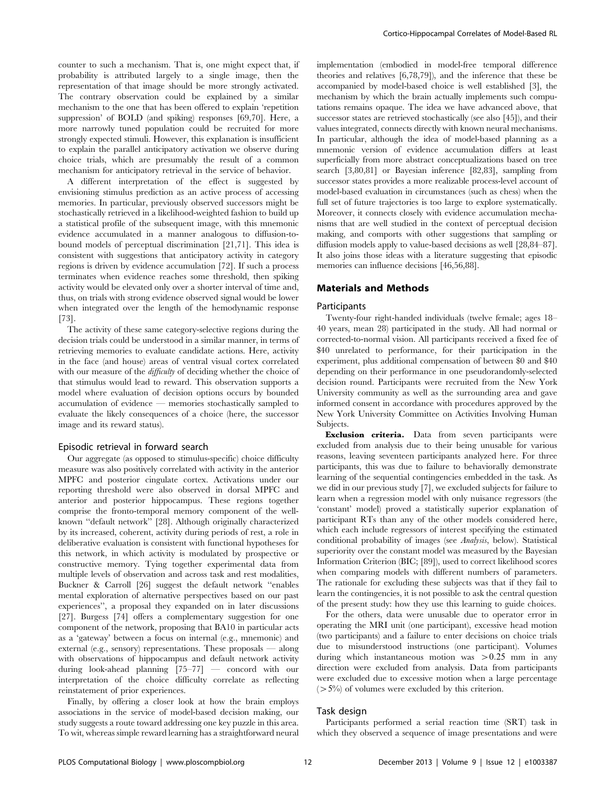counter to such a mechanism. That is, one might expect that, if probability is attributed largely to a single image, then the representation of that image should be more strongly activated. The contrary observation could be explained by a similar mechanism to the one that has been offered to explain 'repetition suppression' of BOLD (and spiking) responses [69,70]. Here, a more narrowly tuned population could be recruited for more strongly expected stimuli. However, this explanation is insufficient to explain the parallel anticipatory activation we observe during choice trials, which are presumably the result of a common mechanism for anticipatory retrieval in the service of behavior.

A different interpretation of the effect is suggested by envisioning stimulus prediction as an active process of accessing memories. In particular, previously observed successors might be stochastically retrieved in a likelihood-weighted fashion to build up a statistical profile of the subsequent image, with this mnemonic evidence accumulated in a manner analogous to diffusion-tobound models of perceptual discrimination [21,71]. This idea is consistent with suggestions that anticipatory activity in category regions is driven by evidence accumulation [72]. If such a process terminates when evidence reaches some threshold, then spiking activity would be elevated only over a shorter interval of time and, thus, on trials with strong evidence observed signal would be lower when integrated over the length of the hemodynamic response [73].

The activity of these same category-selective regions during the decision trials could be understood in a similar manner, in terms of retrieving memories to evaluate candidate actions. Here, activity in the face (and house) areas of ventral visual cortex correlated with our measure of the *difficulty* of deciding whether the choice of that stimulus would lead to reward. This observation supports a model where evaluation of decision options occurs by bounded accumulation of evidence — memories stochastically sampled to evaluate the likely consequences of a choice (here, the successor image and its reward status).

#### Episodic retrieval in forward search

Our aggregate (as opposed to stimulus-specific) choice difficulty measure was also positively correlated with activity in the anterior MPFC and posterior cingulate cortex. Activations under our reporting threshold were also observed in dorsal MPFC and anterior and posterior hippocampus. These regions together comprise the fronto-temporal memory component of the wellknown ''default network'' [28]. Although originally characterized by its increased, coherent, activity during periods of rest, a role in deliberative evaluation is consistent with functional hypotheses for this network, in which activity is modulated by prospective or constructive memory. Tying together experimental data from multiple levels of observation and across task and rest modalities, Buckner & Carroll [26] suggest the default network ''enables mental exploration of alternative perspectives based on our past experiences'', a proposal they expanded on in later discussions [27]. Burgess [74] offers a complementary suggestion for one component of the network, proposing that BA10 in particular acts as a 'gateway' between a focus on internal (e.g., mnemonic) and external (e.g., sensory) representations. These proposals — along with observations of hippocampus and default network activity during look-ahead planning [75–77] — concord with our interpretation of the choice difficulty correlate as reflecting reinstatement of prior experiences.

Finally, by offering a closer look at how the brain employs associations in the service of model-based decision making, our study suggests a route toward addressing one key puzzle in this area. To wit, whereas simple reward learning has a straightforward neural implementation (embodied in model-free temporal difference theories and relatives [6,78,79]), and the inference that these be accompanied by model-based choice is well established [3], the mechanism by which the brain actually implements such computations remains opaque. The idea we have advanced above, that successor states are retrieved stochastically (see also [45]), and their values integrated, connects directly with known neural mechanisms. In particular, although the idea of model-based planning as a mnemonic version of evidence accumulation differs at least superficially from more abstract conceptualizations based on tree search [3,80,81] or Bayesian inference [82,83], sampling from successor states provides a more realizable process-level account of model-based evaluation in circumstances (such as chess) when the full set of future trajectories is too large to explore systematically. Moreover, it connects closely with evidence accumulation mechanisms that are well studied in the context of perceptual decision making, and comports with other suggestions that sampling or diffusion models apply to value-based decisions as well [28,84–87]. It also joins those ideas with a literature suggesting that episodic memories can influence decisions [46,56,88].

#### Materials and Methods

#### Participants

Twenty-four right-handed individuals (twelve female; ages 18– 40 years, mean 28) participated in the study. All had normal or corrected-to-normal vision. All participants received a fixed fee of \$40 unrelated to performance, for their participation in the experiment, plus additional compensation of between \$0 and \$40 depending on their performance in one pseudorandomly-selected decision round. Participants were recruited from the New York University community as well as the surrounding area and gave informed consent in accordance with procedures approved by the New York University Committee on Activities Involving Human Subjects.

Exclusion criteria. Data from seven participants were excluded from analysis due to their being unusable for various reasons, leaving seventeen participants analyzed here. For three participants, this was due to failure to behaviorally demonstrate learning of the sequential contingencies embedded in the task. As we did in our previous study [7], we excluded subjects for failure to learn when a regression model with only nuisance regressors (the 'constant' model) proved a statistically superior explanation of participant RTs than any of the other models considered here, which each include regressors of interest specifying the estimated conditional probability of images (see Analysis, below). Statistical superiority over the constant model was measured by the Bayesian Information Criterion (BIC; [89]), used to correct likelihood scores when comparing models with different numbers of parameters. The rationale for excluding these subjects was that if they fail to learn the contingencies, it is not possible to ask the central question of the present study: how they use this learning to guide choices.

For the others, data were unusable due to operator error in operating the MRI unit (one participant), excessive head motion (two participants) and a failure to enter decisions on choice trials due to misunderstood instructions (one participant). Volumes during which instantaneous motion was  $>0.25$  mm in any direction were excluded from analysis. Data from participants were excluded due to excessive motion when a large percentage  $(5\%)$  of volumes were excluded by this criterion.

#### Task design

Participants performed a serial reaction time (SRT) task in which they observed a sequence of image presentations and were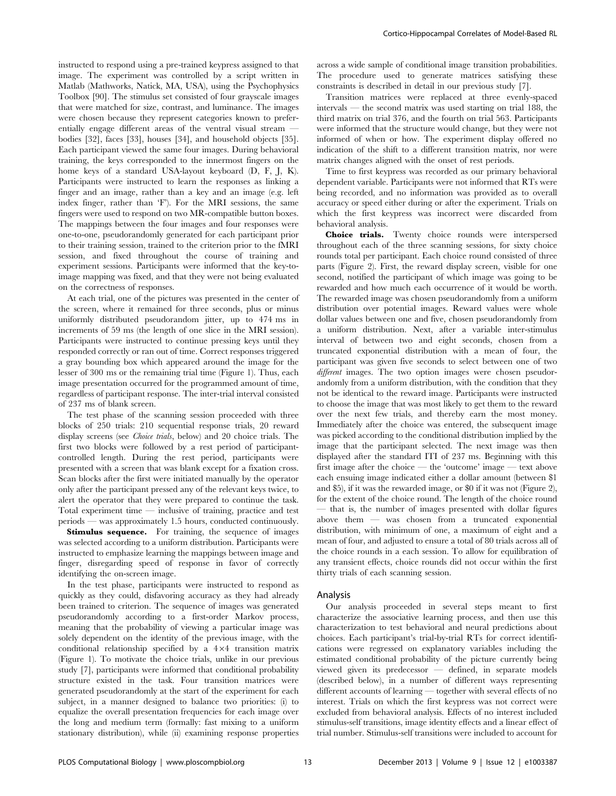instructed to respond using a pre-trained keypress assigned to that image. The experiment was controlled by a script written in Matlab (Mathworks, Natick, MA, USA), using the Psychophysics Toolbox [90]. The stimulus set consisted of four grayscale images that were matched for size, contrast, and luminance. The images were chosen because they represent categories known to preferentially engage different areas of the ventral visual stream bodies [32], faces [33], houses [34], and household objects [35]. Each participant viewed the same four images. During behavioral training, the keys corresponded to the innermost fingers on the home keys of a standard USA-layout keyboard (D, F, J, K). Participants were instructed to learn the responses as linking a finger and an image, rather than a key and an image (e.g. left index finger, rather than 'F'). For the MRI sessions, the same fingers were used to respond on two MR-compatible button boxes. The mappings between the four images and four responses were one-to-one, pseudorandomly generated for each participant prior to their training session, trained to the criterion prior to the fMRI session, and fixed throughout the course of training and experiment sessions. Participants were informed that the key-toimage mapping was fixed, and that they were not being evaluated on the correctness of responses.

At each trial, one of the pictures was presented in the center of the screen, where it remained for three seconds, plus or minus uniformly distributed pseudorandom jitter, up to 474 ms in increments of 59 ms (the length of one slice in the MRI session). Participants were instructed to continue pressing keys until they responded correctly or ran out of time. Correct responses triggered a gray bounding box which appeared around the image for the lesser of 300 ms or the remaining trial time (Figure 1). Thus, each image presentation occurred for the programmed amount of time, regardless of participant response. The inter-trial interval consisted of 237 ms of blank screen.

The test phase of the scanning session proceeded with three blocks of 250 trials: 210 sequential response trials, 20 reward display screens (see *Choice trials*, below) and 20 choice trials. The first two blocks were followed by a rest period of participantcontrolled length. During the rest period, participants were presented with a screen that was blank except for a fixation cross. Scan blocks after the first were initiated manually by the operator only after the participant pressed any of the relevant keys twice, to alert the operator that they were prepared to continue the task. Total experiment time — inclusive of training, practice and test periods — was approximately 1.5 hours, conducted continuously.

Stimulus sequence. For training, the sequence of images was selected according to a uniform distribution. Participants were instructed to emphasize learning the mappings between image and finger, disregarding speed of response in favor of correctly identifying the on-screen image.

In the test phase, participants were instructed to respond as quickly as they could, disfavoring accuracy as they had already been trained to criterion. The sequence of images was generated pseudorandomly according to a first-order Markov process, meaning that the probability of viewing a particular image was solely dependent on the identity of the previous image, with the conditional relationship specified by a  $4\times4$  transition matrix (Figure 1). To motivate the choice trials, unlike in our previous study [7], participants were informed that conditional probability structure existed in the task. Four transition matrices were generated pseudorandomly at the start of the experiment for each subject, in a manner designed to balance two priorities: (i) to equalize the overall presentation frequencies for each image over the long and medium term (formally: fast mixing to a uniform stationary distribution), while (ii) examining response properties across a wide sample of conditional image transition probabilities. The procedure used to generate matrices satisfying these constraints is described in detail in our previous study [7].

Transition matrices were replaced at three evenly-spaced intervals — the second matrix was used starting on trial 188, the third matrix on trial 376, and the fourth on trial 563. Participants were informed that the structure would change, but they were not informed of when or how. The experiment display offered no indication of the shift to a different transition matrix, nor were matrix changes aligned with the onset of rest periods.

Time to first keypress was recorded as our primary behavioral dependent variable. Participants were not informed that RTs were being recorded, and no information was provided as to overall accuracy or speed either during or after the experiment. Trials on which the first keypress was incorrect were discarded from behavioral analysis.

Choice trials. Twenty choice rounds were interspersed throughout each of the three scanning sessions, for sixty choice rounds total per participant. Each choice round consisted of three parts (Figure 2). First, the reward display screen, visible for one second, notified the participant of which image was going to be rewarded and how much each occurrence of it would be worth. The rewarded image was chosen pseudorandomly from a uniform distribution over potential images. Reward values were whole dollar values between one and five, chosen pseudorandomly from a uniform distribution. Next, after a variable inter-stimulus interval of between two and eight seconds, chosen from a truncated exponential distribution with a mean of four, the participant was given five seconds to select between one of two different images. The two option images were chosen pseudorandomly from a uniform distribution, with the condition that they not be identical to the reward image. Participants were instructed to choose the image that was most likely to get them to the reward over the next few trials, and thereby earn the most money. Immediately after the choice was entered, the subsequent image was picked according to the conditional distribution implied by the image that the participant selected. The next image was then displayed after the standard ITI of 237 ms. Beginning with this first image after the choice — the 'outcome' image — text above each ensuing image indicated either a dollar amount (between \$1 and \$5), if it was the rewarded image, or \$0 if it was not (Figure 2), for the extent of the choice round. The length of the choice round — that is, the number of images presented with dollar figures above them — was chosen from a truncated exponential distribution, with minimum of one, a maximum of eight and a mean of four, and adjusted to ensure a total of 80 trials across all of the choice rounds in a each session. To allow for equilibration of any transient effects, choice rounds did not occur within the first thirty trials of each scanning session.

#### Analysis

Our analysis proceeded in several steps meant to first characterize the associative learning process, and then use this characterization to test behavioral and neural predictions about choices. Each participant's trial-by-trial RTs for correct identifications were regressed on explanatory variables including the estimated conditional probability of the picture currently being viewed given its predecessor — defined, in separate models (described below), in a number of different ways representing different accounts of learning — together with several effects of no interest. Trials on which the first keypress was not correct were excluded from behavioral analysis. Effects of no interest included stimulus-self transitions, image identity effects and a linear effect of trial number. Stimulus-self transitions were included to account for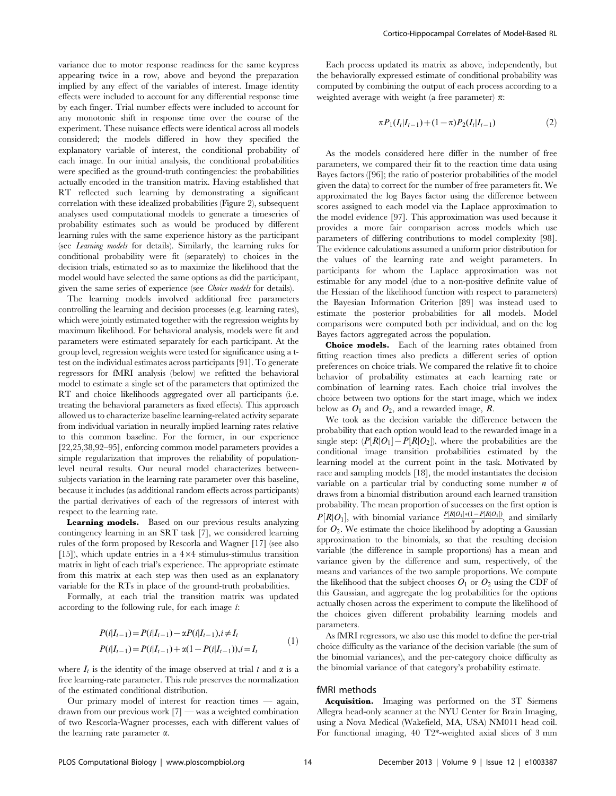variance due to motor response readiness for the same keypress appearing twice in a row, above and beyond the preparation implied by any effect of the variables of interest. Image identity effects were included to account for any differential response time by each finger. Trial number effects were included to account for any monotonic shift in response time over the course of the experiment. These nuisance effects were identical across all models considered; the models differed in how they specified the explanatory variable of interest, the conditional probability of each image. In our initial analysis, the conditional probabilities were specified as the ground-truth contingencies: the probabilities actually encoded in the transition matrix. Having established that RT reflected such learning by demonstrating a significant correlation with these idealized probabilities (Figure 2), subsequent analyses used computational models to generate a timeseries of probability estimates such as would be produced by different learning rules with the same experience history as the participant (see Learning models for details). Similarly, the learning rules for conditional probability were fit (separately) to choices in the decision trials, estimated so as to maximize the likelihood that the model would have selected the same options as did the participant, given the same series of experience (see *Choice models* for details).

The learning models involved additional free parameters controlling the learning and decision processes (e.g. learning rates), which were jointly estimated together with the regression weights by maximum likelihood. For behavioral analysis, models were fit and parameters were estimated separately for each participant. At the group level, regression weights were tested for significance using a ttest on the individual estimates across participants [91]. To generate regressors for fMRI analysis (below) we refitted the behavioral model to estimate a single set of the parameters that optimized the RT and choice likelihoods aggregated over all participants (i.e. treating the behavioral parameters as fixed effects). This approach allowed us to characterize baseline learning-related activity separate from individual variation in neurally implied learning rates relative to this common baseline. For the former, in our experience [22,25,38,92–95], enforcing common model parameters provides a simple regularization that improves the reliability of populationlevel neural results. Our neural model characterizes betweensubjects variation in the learning rate parameter over this baseline, because it includes (as additional random effects across participants) the partial derivatives of each of the regressors of interest with respect to the learning rate.

Learning models. Based on our previous results analyzing contingency learning in an SRT task [7], we considered learning rules of the form proposed by Rescorla and Wagner [17] (see also [15]), which update entries in a  $4\times4$  stimulus-stimulus transition matrix in light of each trial's experience. The appropriate estimate from this matrix at each step was then used as an explanatory variable for the RTs in place of the ground-truth probabilities.

Formally, at each trial the transition matrix was updated according to the following rule, for each image i:

$$
P(i|I_{t-1}) = P(i|I_{t-1}) - \alpha P(i|I_{t-1}), i \neq I_t
$$
  
\n
$$
P(i|I_{t-1}) = P(i|I_{t-1}) + \alpha(1 - P(i|I_{t-1})), i = I_t
$$
\n(1)

where  $I_t$  is the identity of the image observed at trial t and  $\alpha$  is a free learning-rate parameter. This rule preserves the normalization of the estimated conditional distribution.

Our primary model of interest for reaction times — again, drawn from our previous work [7] — was a weighted combination of two Rescorla-Wagner processes, each with different values of the learning rate parameter  $\alpha$ .

Each process updated its matrix as above, independently, but the behaviorally expressed estimate of conditional probability was computed by combining the output of each process according to a weighted average with weight (a free parameter)  $\pi$ :

$$
\pi P_1(I_t|I_{t-1}) + (1-\pi)P_2(I_t|I_{t-1})
$$
\n(2)

As the models considered here differ in the number of free parameters, we compared their fit to the reaction time data using Bayes factors ([96]; the ratio of posterior probabilities of the model given the data) to correct for the number of free parameters fit. We approximated the log Bayes factor using the difference between scores assigned to each model via the Laplace approximation to the model evidence [97]. This approximation was used because it provides a more fair comparison across models which use parameters of differing contributions to model complexity [98]. The evidence calculations assumed a uniform prior distribution for the values of the learning rate and weight parameters. In participants for whom the Laplace approximation was not estimable for any model (due to a non-positive definite value of the Hessian of the likelihood function with respect to parameters) the Bayesian Information Criterion [89] was instead used to estimate the posterior probabilities for all models. Model comparisons were computed both per individual, and on the log Bayes factors aggregated across the population.

Choice models. Each of the learning rates obtained from fitting reaction times also predicts a different series of option preferences on choice trials. We compared the relative fit to choice behavior of probability estimates at each learning rate or combination of learning rates. Each choice trial involves the choice between two options for the start image, which we index below as  $O_1$  and  $O_2$ , and a rewarded image, R.

We took as the decision variable the difference between the probability that each option would lead to the rewarded image in a single step:  $(P[R|O_1] - P[R|O_2])$ , where the probabilities are the conditional image transition probabilities estimated by the learning model at the current point in the task. Motivated by race and sampling models [18], the model instantiates the decision variable on a particular trial by conducting some number  $n$  of draws from a binomial distribution around each learned transition probability. The mean proportion of successes on the first option is  $P[R|O_1]$ , with binomial variance  $\frac{P[R|O_1] * (1 - P[R|O_1])}{n}$ , and similarly for  $O_2$ . We estimate the choice likelihood by adopting a Gaussian approximation to the binomials, so that the resulting decision variable (the difference in sample proportions) has a mean and variance given by the difference and sum, respectively, of the means and variances of the two sample proportions. We compute the likelihood that the subject chooses  $O_1$  or  $O_2$  using the CDF of this Gaussian, and aggregate the log probabilities for the options actually chosen across the experiment to compute the likelihood of the choices given different probability learning models and parameters.

As fMRI regressors, we also use this model to define the per-trial choice difficulty as the variance of the decision variable (the sum of the binomial variances), and the per-category choice difficulty as the binomial variance of that category's probability estimate.

#### fMRI methods

Acquisition. Imaging was performed on the 3T Siemens Allegra head-only scanner at the NYU Center for Brain Imaging, using a Nova Medical (Wakefield, MA, USA) NM011 head coil. For functional imaging, 40 T2\*-weighted axial slices of 3 mm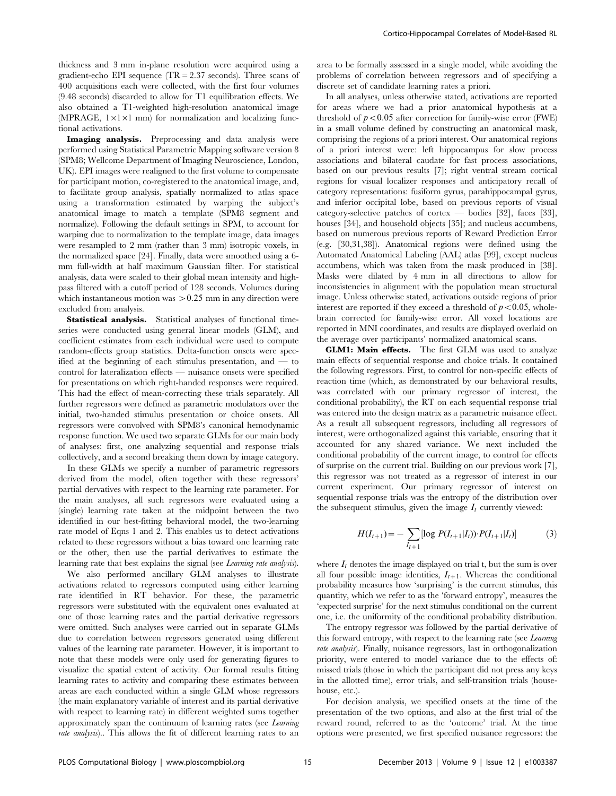thickness and 3 mm in-plane resolution were acquired using a gradient-echo EPI sequence (TR = 2.37 seconds). Three scans of 400 acquisitions each were collected, with the first four volumes (9.48 seconds) discarded to allow for T1 equilibration effects. We also obtained a T1-weighted high-resolution anatomical image (MPRAGE,  $1 \times 1 \times 1$  mm) for normalization and localizing functional activations.

Imaging analysis. Preprocessing and data analysis were performed using Statistical Parametric Mapping software version 8 (SPM8; Wellcome Department of Imaging Neuroscience, London, UK). EPI images were realigned to the first volume to compensate for participant motion, co-registered to the anatomical image, and, to facilitate group analysis, spatially normalized to atlas space using a transformation estimated by warping the subject's anatomical image to match a template (SPM8 segment and normalize). Following the default settings in SPM, to account for warping due to normalization to the template image, data images were resampled to 2 mm (rather than 3 mm) isotropic voxels, in the normalized space [24]. Finally, data were smoothed using a 6 mm full-width at half maximum Gaussian filter. For statistical analysis, data were scaled to their global mean intensity and highpass filtered with a cutoff period of 128 seconds. Volumes during which instantaneous motion was  $>0.25$  mm in any direction were excluded from analysis.

Statistical analysis. Statistical analyses of functional timeseries were conducted using general linear models (GLM), and coefficient estimates from each individual were used to compute random-effects group statistics. Delta-function onsets were specified at the beginning of each stimulus presentation, and — to control for lateralization effects — nuisance onsets were specified for presentations on which right-handed responses were required. This had the effect of mean-correcting these trials separately. All further regressors were defined as parametric modulators over the initial, two-handed stimulus presentation or choice onsets. All regressors were convolved with SPM8's canonical hemodynamic response function. We used two separate GLMs for our main body of analyses: first, one analyzing sequential and response trials collectively, and a second breaking them down by image category.

In these GLMs we specify a number of parametric regressors derived from the model, often together with these regressors' partial dervatives with respect to the learning rate parameter. For the main analyses, all such regressors were evaluated using a (single) learning rate taken at the midpoint between the two identified in our best-fitting behavioral model, the two-learning rate model of Eqns 1 and 2. This enables us to detect activations related to these regressors without a bias toward one learning rate or the other, then use the partial derivatives to estimate the learning rate that best explains the signal (see Learning rate analysis).

We also performed ancillary GLM analyses to illustrate activations related to regressors computed using either learning rate identified in RT behavior. For these, the parametric regressors were substituted with the equivalent ones evaluated at one of those learning rates and the partial derivative regressors were omitted. Such analyses were carried out in separate GLMs due to correlation between regressors generated using different values of the learning rate parameter. However, it is important to note that these models were only used for generating figures to visualize the spatial extent of activity. Our formal results fitting learning rates to activity and comparing these estimates between areas are each conducted within a single GLM whose regressors (the main explanatory variable of interest and its partial derivative with respect to learning rate) in different weighted sums together approximately span the continuum of learning rates (see Learning rate analysis).. This allows the fit of different learning rates to an area to be formally assessed in a single model, while avoiding the problems of correlation between regressors and of specifying a discrete set of candidate learning rates a priori.

In all analyses, unless otherwise stated, activations are reported for areas where we had a prior anatomical hypothesis at a threshold of  $p<0.05$  after correction for family-wise error (FWE) in a small volume defined by constructing an anatomical mask, comprising the regions of a priori interest. Our anatomical regions of a priori interest were: left hippocampus for slow process associations and bilateral caudate for fast process associations, based on our previous results [7]; right ventral stream cortical regions for visual localizer responses and anticipatory recall of category representations: fusiform gyrus, parahippocampal gyrus, and inferior occipital lobe, based on previous reports of visual category-selective patches of cortex — bodies [32], faces [33], houses [34], and household objects [35]; and nucleus accumbens, based on numerous previous reports of Reward Prediction Error (e.g. [30,31,38]). Anatomical regions were defined using the Automated Anatomical Labeling (AAL) atlas [99], except nucleus accumbens, which was taken from the mask produced in [38]. Masks were dilated by 4 mm in all directions to allow for inconsistencies in alignment with the population mean structural image. Unless otherwise stated, activations outside regions of prior interest are reported if they exceed a threshold of  $p<0.05$ , wholebrain corrected for family-wise error. All voxel locations are reported in MNI coordinates, and results are displayed overlaid on the average over participants' normalized anatomical scans.

GLM1: Main effects. The first GLM was used to analyze main effects of sequential response and choice trials. It contained the following regressors. First, to control for non-specific effects of reaction time (which, as demonstrated by our behavioral results, was correlated with our primary regressor of interest, the conditional probability), the RT on each sequential response trial was entered into the design matrix as a parametric nuisance effect. As a result all subsequent regressors, including all regressors of interest, were orthogonalized against this variable, ensuring that it accounted for any shared variance. We next included the conditional probability of the current image, to control for effects of surprise on the current trial. Building on our previous work [7], this regressor was not treated as a regressor of interest in our current experiment. Our primary regressor of interest on sequential response trials was the entropy of the distribution over the subsequent stimulus, given the image  $I_t$  currently viewed:

$$
H(I_{t+1}) = -\sum_{I_{t+1}} [\log P(I_{t+1}|I_t)) \cdot P(I_{t+1}|I_t)] \tag{3}
$$

where  $I_t$  denotes the image displayed on trial t, but the sum is over all four possible image identities,  $I_{t+1}$ . Whereas the conditional probability measures how 'surprising' is the current stimulus, this quantity, which we refer to as the 'forward entropy', measures the 'expected surprise' for the next stimulus conditional on the current one, i.e. the uniformity of the conditional probability distribution.

The entropy regressor was followed by the partial derivative of this forward entropy, with respect to the learning rate (see *Learning* rate analysis). Finally, nuisance regressors, last in orthogonalization priority, were entered to model variance due to the effects of: missed trials (those in which the participant did not press any keys in the allotted time), error trials, and self-transition trials (househouse, etc.).

For decision analysis, we specified onsets at the time of the presentation of the two options, and also at the first trial of the reward round, referred to as the 'outcome' trial. At the time options were presented, we first specified nuisance regressors: the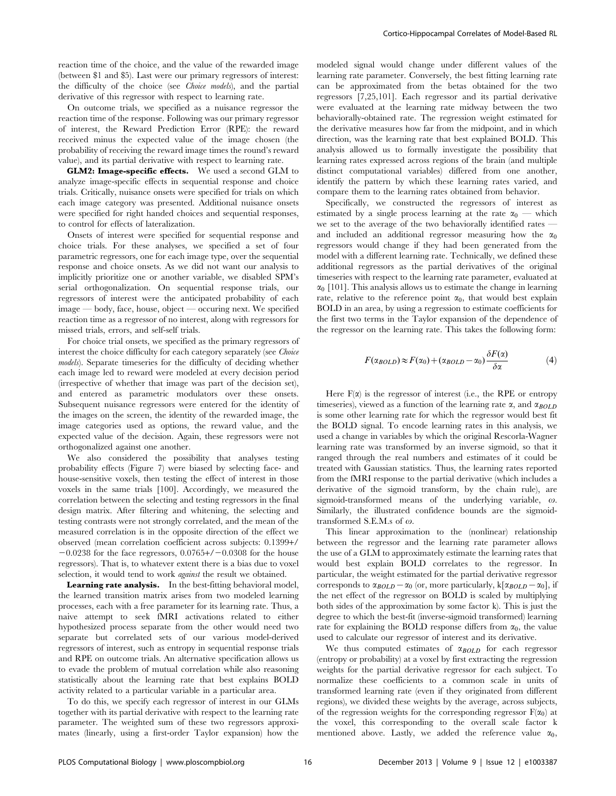reaction time of the choice, and the value of the rewarded image (between \$1 and \$5). Last were our primary regressors of interest: the difficulty of the choice (see Choice models), and the partial derivative of this regressor with respect to learning rate.

On outcome trials, we specified as a nuisance regressor the reaction time of the response. Following was our primary regressor of interest, the Reward Prediction Error (RPE): the reward received minus the expected value of the image chosen (the probability of receiving the reward image times the round's reward value), and its partial derivative with respect to learning rate.

GLM2: Image-specific effects. We used a second GLM to analyze image-specific effects in sequential response and choice trials. Critically, nuisance onsets were specified for trials on which each image category was presented. Additional nuisance onsets were specified for right handed choices and sequential responses, to control for effects of lateralization.

Onsets of interest were specified for sequential response and choice trials. For these analyses, we specified a set of four parametric regressors, one for each image type, over the sequential response and choice onsets. As we did not want our analysis to implicitly prioritize one or another variable, we disabled SPM's serial orthogonalization. On sequential response trials, our regressors of interest were the anticipated probability of each image — body, face, house, object — occuring next. We specified reaction time as a regressor of no interest, along with regressors for missed trials, errors, and self-self trials.

For choice trial onsets, we specified as the primary regressors of interest the choice difficulty for each category separately (see Choice models). Separate timeseries for the difficulty of deciding whether each image led to reward were modeled at every decision period (irrespective of whether that image was part of the decision set), and entered as parametric modulators over these onsets. Subsequent nuisance regressors were entered for the identity of the images on the screen, the identity of the rewarded image, the image categories used as options, the reward value, and the expected value of the decision. Again, these regressors were not orthogonalized against one another.

We also considered the possibility that analyses testing probability effects (Figure 7) were biased by selecting face- and house-sensitive voxels, then testing the effect of interest in those voxels in the same trials [100]. Accordingly, we measured the correlation between the selecting and testing regressors in the final design matrix. After filtering and whitening, the selecting and testing contrasts were not strongly correlated, and the mean of the measured correlation is in the opposite direction of the effect we observed (mean correlation coefficient across subjects: 0.1399+/  $-0.0238$  for the face regressors,  $0.0765+\prime-0.0308$  for the house regressors). That is, to whatever extent there is a bias due to voxel selection, it would tend to work *against* the result we obtained.

Learning rate analysis. In the best-fitting behavioral model, the learned transition matrix arises from two modeled learning processes, each with a free parameter for its learning rate. Thus, a naive attempt to seek fMRI activations related to either hypothesized process separate from the other would need two separate but correlated sets of our various model-derived regressors of interest, such as entropy in sequential response trials and RPE on outcome trials. An alternative specification allows us to evade the problem of mutual correlation while also reasoning statistically about the learning rate that best explains BOLD activity related to a particular variable in a particular area.

To do this, we specify each regressor of interest in our GLMs together with its partial derivative with respect to the learning rate parameter. The weighted sum of these two regressors approximates (linearly, using a first-order Taylor expansion) how the modeled signal would change under different values of the learning rate parameter. Conversely, the best fitting learning rate can be approximated from the betas obtained for the two regressors [7,25,101]. Each regressor and its partial derivative were evaluated at the learning rate midway between the two behaviorally-obtained rate. The regression weight estimated for the derivative measures how far from the midpoint, and in which direction, was the learning rate that best explained BOLD. This analysis allowed us to formally investigate the possibility that learning rates expressed across regions of the brain (and multiple distinct computational variables) differed from one another, identify the pattern by which these learning rates varied, and compare them to the learning rates obtained from behavior.

Specifically, we constructed the regressors of interest as estimated by a single process learning at the rate  $\alpha_0$  — which we set to the average of the two behaviorally identified rates and included an additional regressor measuring how the  $\alpha_0$ regressors would change if they had been generated from the model with a different learning rate. Technically, we defined these additional regressors as the partial derivatives of the original timeseries with respect to the learning rate parameter, evaluated at  $\alpha_0$  [101]. This analysis allows us to estimate the change in learning rate, relative to the reference point  $\alpha_0$ , that would best explain BOLD in an area, by using a regression to estimate coefficients for the first two terms in the Taylor expansion of the dependence of the regressor on the learning rate. This takes the following form:

$$
F(\alpha_{BOLD}) \approx F(\alpha_0) + (\alpha_{BOLD} - \alpha_0) \frac{\delta F(\alpha)}{\delta \alpha} \tag{4}
$$

Here  $F(\alpha)$  is the regressor of interest (i.e., the RPE or entropy timeseries), viewed as a function of the learning rate  $\alpha$ , and  $\alpha_{BOLD}$ is some other learning rate for which the regressor would best fit the BOLD signal. To encode learning rates in this analysis, we used a change in variables by which the original Rescorla-Wagner learning rate was transformed by an inverse sigmoid, so that it ranged through the real numbers and estimates of it could be treated with Gaussian statistics. Thus, the learning rates reported from the fMRI response to the partial derivative (which includes a derivative of the sigmoid transform, by the chain rule), are sigmoid-transformed means of the underlying variable,  $\omega$ . Similarly, the illustrated confidence bounds are the sigmoidtransformed S.E.M.s of  $\omega$ .

This linear approximation to the (nonlinear) relationship between the regressor and the learning rate parameter allows the use of a GLM to approximately estimate the learning rates that would best explain BOLD correlates to the regressor. In particular, the weight estimated for the partial derivative regressor corresponds to  $\alpha_{BOLD} - \alpha_0$  (or, more particularly, k[ $\alpha_{BOLD} - \alpha_0$ ], if the net effect of the regressor on BOLD is scaled by multiplying both sides of the approximation by some factor k). This is just the degree to which the best-fit (inverse-sigmoid transformed) learning rate for explaining the BOLD response differs from  $\alpha_0$ , the value used to calculate our regressor of interest and its derivative.

We thus computed estimates of  $\alpha_{BOLD}$  for each regressor (entropy or probability) at a voxel by first extracting the regression weights for the partial derivative regressor for each subject. To normalize these coefficients to a common scale in units of transformed learning rate (even if they originated from different regions), we divided these weights by the average, across subjects, of the regression weights for the corresponding regressor  $F(\alpha_0)$  at the voxel, this corresponding to the overall scale factor k mentioned above. Lastly, we added the reference value  $\alpha_0$ ,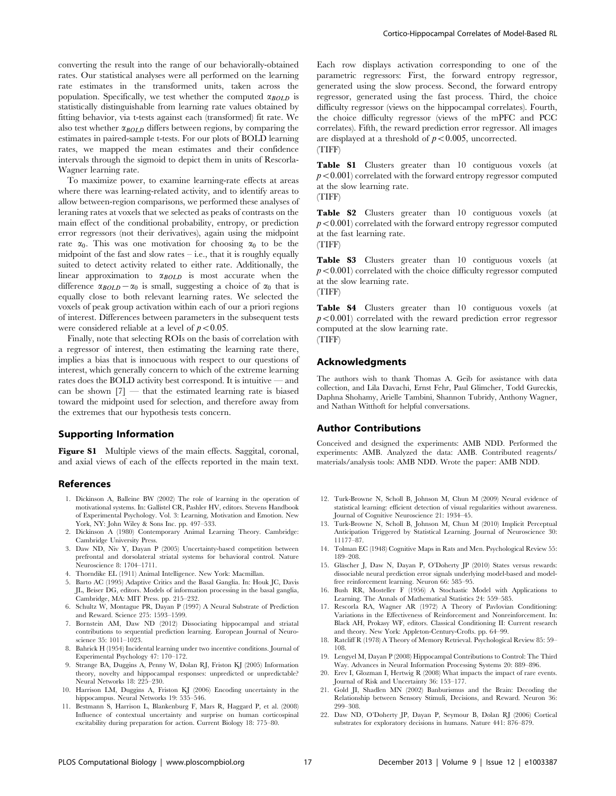converting the result into the range of our behaviorally-obtained rates. Our statistical analyses were all performed on the learning rate estimates in the transformed units, taken across the population. Specifically, we test whether the computed  $\alpha_{BOLD}$  is statistically distinguishable from learning rate values obtained by fitting behavior, via t-tests against each (transformed) fit rate. We also test whether  $\alpha_{BOLD}$  differs between regions, by comparing the estimates in paired-sample t-tests. For our plots of BOLD learning rates, we mapped the mean estimates and their confidence intervals through the sigmoid to depict them in units of Rescorla-Wagner learning rate.

To maximize power, to examine learning-rate effects at areas where there was learning-related activity, and to identify areas to allow between-region comparisons, we performed these analyses of leraning rates at voxels that we selected as peaks of contrasts on the main effect of the conditional probability, entropy, or prediction error regressors (not their derivatives), again using the midpoint rate  $\alpha_0$ . This was one motivation for choosing  $\alpha_0$  to be the midpoint of the fast and slow rates  $-$  i.e., that it is roughly equally suited to detect activity related to either rate. Additionally, the linear approximation to  $\alpha_{BOLD}$  is most accurate when the difference  $\alpha_{BOLD} - \alpha_0$  is small, suggesting a choice of  $\alpha_0$  that is equally close to both relevant learning rates. We selected the voxels of peak group activation within each of our a priori regions of interest. Differences between parameters in the subsequent tests were considered reliable at a level of  $p<0.05$ .

Finally, note that selecting ROIs on the basis of correlation with a regressor of interest, then estimating the learning rate there, implies a bias that is innocuous with respect to our questions of interest, which generally concern to which of the extreme learning rates does the BOLD activity best correspond. It is intuitive — and can be shown  $[7]$  — that the estimated learning rate is biased toward the midpoint used for selection, and therefore away from the extremes that our hypothesis tests concern.

# Supporting Information

Figure S1 Multiple views of the main effects. Saggital, coronal, and axial views of each of the effects reported in the main text.

#### References

- 1. Dickinson A, Balleine BW (2002) The role of learning in the operation of motivational systems. In: Gallistel CR, Pashler HV, editors. Stevens Handbook of Experimental Psychology. Vol. 3: Learning, Motivation and Emotion. New York, NY: John Wiley & Sons Inc. pp. 497–533.
- 2. Dickinson A (1980) Contemporary Animal Learning Theory. Cambridge: Cambridge University Press.
- 3. Daw ND, Niv Y, Dayan P (2005) Uncertainty-based competition between prefrontal and dorsolateral striatal systems for behavioral control. Nature Neuroscience 8: 1704–1711.
- 4. Thorndike EL (1911) Animal Intelligence. New York: Macmillan.
- 5. Barto AC (1995) Adaptive Critics and the Basal Ganglia. In: Houk JC, Davis JL, Beiser DG, editors. Models of information processing in the basal ganglia, Cambridge, MA: MIT Press. pp. 215–232.
- 6. Schultz W, Montague PR, Dayan P (1997) A Neural Substrate of Prediction and Reward. Science 275: 1593–1599.
- 7. Bornstein AM, Daw ND (2012) Dissociating hippocampal and striatal contributions to sequential prediction learning. European Journal of Neuroscience 35: 1011–1023.
- 8. Bahrick H (1954) Incidental learning under two incentive conditions. Journal of Experimental Psychology 47: 170–172.
- 9. Strange BA, Duggins A, Penny W, Dolan RJ, Friston KJ (2005) Information theory, novelty and hippocampal responses: unpredicted or unpredictable? Neural Networks 18: 225–230.
- 10. Harrison LM, Duggins A, Friston KJ (2006) Encoding uncertainty in the hippocampus. Neural Networks 19: 535–546.
- 11. Bestmann S, Harrison L, Blankenburg F, Mars R, Haggard P, et al. (2008) Influence of contextual uncertainty and surprise on human corticospinal excitability during preparation for action. Current Biology 18: 775–80.

Each row displays activation corresponding to one of the parametric regressors: First, the forward entropy regressor, generated using the slow process. Second, the forward entropy regressor, generated using the fast process. Third, the choice difficulty regressor (views on the hippocampal correlates). Fourth, the choice difficulty regressor (views of the mPFC and PCC correlates). Fifth, the reward prediction error regressor. All images are displayed at a threshold of  $p < 0.005$ , uncorrected. (TIFF)

Table S1 Clusters greater than 10 contiguous voxels (at  $p<0.001$ ) correlated with the forward entropy regressor computed at the slow learning rate. (TIFF)

Table S2 Clusters greater than 10 contiguous voxels (at  $p<0.001$ ) correlated with the forward entropy regressor computed at the fast learning rate.

(TIFF)

Table S3 Clusters greater than 10 contiguous voxels (at  $p<0.001$ ) correlated with the choice difficulty regressor computed at the slow learning rate.

(TIFF)

Table S4 Clusters greater than 10 contiguous voxels (at  $p<0.001$ ) correlated with the reward prediction error regressor computed at the slow learning rate. (TIFF)

# Acknowledgments

The authors wish to thank Thomas A. Geib for assistance with data collection, and Lila Davachi, Ernst Fehr, Paul Glimcher, Todd Gureckis, Daphna Shohamy, Arielle Tambini, Shannon Tubridy, Anthony Wagner, and Nathan Witthoft for helpful conversations.

#### Author Contributions

Conceived and designed the experiments: AMB NDD. Performed the experiments: AMB. Analyzed the data: AMB. Contributed reagents/ materials/analysis tools: AMB NDD. Wrote the paper: AMB NDD.

- 12. Turk-Browne N, Scholl B, Johnson M, Chun M (2009) Neural evidence of statistical learning: efficient detection of visual regularities without awareness. Journal of Cognitive Neuroscience 21: 1934–45.
- 13. Turk-Browne N, Scholl B, Johnson M, Chun M (2010) Implicit Perceptual Anticipation Triggered by Statistical Learning. Journal of Neuroscience 30: 11177–87.
- 14. Tolman EC (1948) Cognitive Maps in Rats and Men. Psychological Review 55: 189–208.
- 15. Gläscher J, Daw N, Dayan P, O'Doherty JP (2010) States versus rewards: dissociable neural prediction error signals underlying model-based and modelfree reinforcement learning. Neuron 66: 585–95.
- 16. Bush RR, Mosteller F (1956) A Stochastic Model with Applications to Learning. The Annals of Mathematical Statistics 24: 559–585.
- 17. Rescorla RA, Wagner AR (1972) A Theory of Pavlovian Conditioning: Variations in the Effectiveness of Reinforcement and Nonreinforcement. In: Black AH, Prokasy WF, editors. Classical Conditioning II: Current research and theory. New York: Appleton-Century-Crofts. pp. 64–99.
- 18. Ratcliff R (1978) A Theory of Memory Retrieval. Psychological Review 85: 59– 108.
- 19. Lengyel M, Dayan P (2008) Hippocampal Contributions to Control: The Third Way. Advances in Neural Information Processing Systems 20: 889–896.
- 20. Erev I, Glozman I, Hertwig R (2008) What impacts the impact of rare events. Journal of Risk and Uncertainty 36: 153–177.
- 21. Gold JI, Shadlen MN (2002) Banburismus and the Brain: Decoding the Relationship between Sensory Stimuli, Decisions, and Reward. Neuron 36: 299–308.
- 22. Daw ND, O'Doherty JP, Dayan P, Seymour B, Dolan RJ (2006) Cortical substrates for exploratory decisions in humans. Nature 441: 876–879.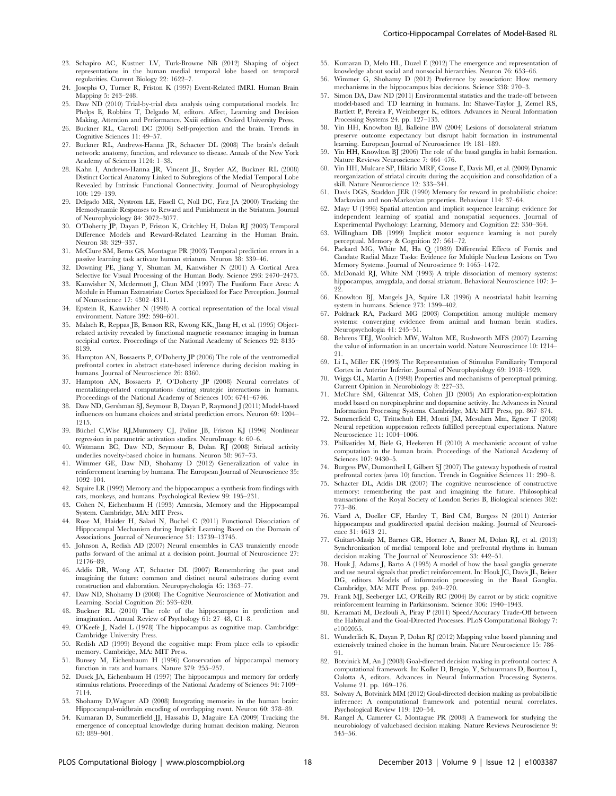- 23. Schapiro AC, Kustner LV, Turk-Browne NB (2012) Shaping of object representations in the human medial temporal lobe based on temporal regularities. Current Biology 22: 1622–7.
- 24. Josephs O, Turner R, Friston K (1997) Event-Related fMRI. Human Brain Mapping 5: 243–248.
- 25. Daw ND (2010) Trial-by-trial data analysis using computational models. In: Phelps E, Robbins T, Delgado M, editors. Affect, Learning and Decision Making, Attention and Performance. Xxiii edition. Oxford University Press.
- 26. Buckner RL, Carroll DC (2006) Self-projection and the brain. Trends in Cognitive Sciences 11: 49–57.
- 27. Buckner RL, Andrews-Hanna JR, Schacter DL (2008) The brain's default network: anatomy, function, and relevance to disease. Annals of the New York Academy of Sciences 1124: 1–38.
- 28. Kahn I, Andrews-Hanna JR, Vincent JL, Snyder AZ, Buckner RL (2008) Distinct Cortical Anatomy Linked to Subregions of the Medial Temporal Lobe Revealed by Intrinsic Functional Connectivity. Journal of Neurophysiology 100: 129–139.
- 29. Delgado MR, Nystrom LE, Fissell C, Noll DC, Fiez JA (2000) Tracking the Hemodynamic Responses to Reward and Punishment in the Striatum. Journal of Neurophysiology 84: 3072–3077.
- 30. O'Doherty JP, Dayan P, Friston K, Critchley H, Dolan RJ (2003) Temporal Difference Models and Reward-Related Learning in the Human Brain. Neuron 38: 329–337.
- 31. McClure SM, Berns GS, Montague PR (2003) Temporal prediction errors in a passive learning task activate human striatum. Neuron 38: 339–46.
- 32. Downing PE, Jiang Y, Shuman M, Kanwisher N (2001) A Cortical Area Selective for Visual Processing of the Human Body. Science 293: 2470–2473.
- 33. Kanwisher N, Mcdermott J, Chun MM (1997) The Fusiform Face Area: A Module in Human Extrastriate Cortex Specialized for Face Perception. Journal of Neuroscience 17: 4302–4311.
- 34. Epstein R, Kanwisher N (1998) A cortical representation of the local visual environment. Nature 392: 598–601.
- 35. Malach R, Reppas JB, Benson RR, Kwong KK, Jlang H, et al. (1995) Objectrelated activity revealed by functional magnetic resonance imaging in human occipital cortex. Proceedings of the National Academy of Sciences 92: 8135– 8139.
- 36. Hampton AN, Bossaerts P, O'Doherty JP (2006) The role of the ventromedial prefrontal cortex in abstract state-based inference during decision making in humans. Journal of Neuroscience 26: 8360.
- 37. Hampton AN, Bossaerts P, O'Doherty JP (2008) Neural correlates of mentalizing-related computations during strategic interactions in humans. Proceedings of the National Academy of Sciences 105: 6741–6746.
- 38. Daw ND, Gershman SJ, Seymour B, Dayan P, Raymond J (2011) Model-based influences on humans choices and striatal prediction errors. Neuron 69: 1204– 1215.
- 39. Bu¨chel C,Wise RJ,Mummery CJ, Poline JB, Friston KJ (1996) Nonlinear regression in parametric activation studies. NeuroImage 4: 60–6.
- 40. Wittmann BC, Daw ND, Seymour B, Dolan RJ (2008) Striatal activity underlies novelty-based choice in humans. Neuron 58: 967–73.
- 41. Wimmer GE, Daw ND, Shohamy D (2012) Generalization of value in reinforcement learning by humans. The European Journal of Neuroscience 35: 1092–104.
- 42. Squire LR (1992) Memory and the hippocampus: a synthesis from findings with rats, monkeys, and humans. Psychological Review 99: 195–231.
- 43. Cohen N, Eichenbaum H (1993) Amnesia, Memory and the Hippocampal System. Cambridge, MA: MIT Press.
- 44. Rose M, Haider H, Salari N, Buchel C (2011) Functional Dissociation of Hippocampal Mechanism during Implicit Learning Based on the Domain of Associations. Journal of Neuroscience 31: 13739–13745.
- 45. Johnson A, Redish AD (2007) Neural ensembles in CA3 transiently encode paths forward of the animal at a decision point. Journal of Neuroscience 27: 12176–89.
- 46. Addis DR, Wong AT, Schacter DL (2007) Remembering the past and imagining the future: common and distinct neural substrates during event construction and elaboration. Neuropsychologia 45: 1363–77.
- 47. Daw ND, Shohamy D (2008) The Cognitive Neuroscience of Motivation and Learning. Social Cognition 26: 593–620.
- 48. Buckner RL (2010) The role of the hippocampus in prediction and imagination. Annual Review of Psychology 61: 27–48, C1–8.
- 49. O'Keefe J, Nadel L (1978) The hippocampus as cognitive map. Cambridge: Cambridge University Press.
- 50. Redish AD (1999) Beyond the cognitive map: From place cells to episodic memory. Cambridge, MA: MIT Press.
- 51. Bunsey M, Eichenbaum H (1996) Conservation of hippocampal memory function in rats and humans. Nature 379: 255–257.
- 52. Dusek JA, Eichenbaum H (1997) The hippocampus and memory for orderly stimulus relations. Proceedings of the National Academy of Sciences 94: 7109– 7114.
- 53. Shohamy D,Wagner AD (2008) Integrating memories in the human brain: Hippocampal-midbrain encoding of overlapping event. Neuron 60: 378–89.
- 54. Kumaran D, Summerfield JJ, Hassabis D, Maguire EA (2009) Tracking the emergence of conceptual knowledge during human decision making. Neuron 63: 889–901.
- 55. Kumaran D, Melo HL, Duzel E (2012) The emergence and representation of knowledge about social and nonsocial hierarchies. Neuron 76: 653–66.
- 56. Wimmer G, Shohamy D (2012) Preference by association: How memory mechanisms in the hippocampus bias decisions. Science 338: 270–3.
- 57. Simon DA, Daw ND (2011) Environmental statistics and the trade-off between model-based and TD learning in humans. In: Shawe-Taylor J, Zemel RS, Bartlett P, Pereira F, Weinberger K, editors. Advances in Neural Information Processing Systems 24. pp. 127–135.
- 58. Yin HH, Knowlton BJ, Balleine BW (2004) Lesions of dorsolateral striatum preserve outcome expectancy but disrupt habit formation in instrumental learning. European Journal of Neuroscience 19: 181–189.
- 59. Yin HH, Knowlton BJ (2006) The role of the basal ganglia in habit formation. Nature Reviews Neuroscience 7: 464–476.
- 60. Yin HH, Mulcare SP, Hila´rio MRF, Clouse E, Davis MI, et al. (2009) Dynamic reorganization of striatal circuits during the acquisition and consolidation of a skill. Nature Neuroscience 12: 333–341.
- 61. Davis DGS, Staddon JER (1990) Memory for reward in probabilistic choice: Markovian and non-Markovian properties. Behaviour 114: 37–64.
- 62. Mayr U (1996) Spatial attention and implicit sequence learning: evidence for independent learning of spatial and nonspatial sequences. Journal of Experimental Psychology: Learning, Memory and Cognition 22: 350–364.
- 63. Willingham DB (1999) Implicit motor sequence learning is not purely perceptual. Memory & Cognition 27: 561–72.
- 64. Packard MG, White M, Ha Q (1989) Differential Effects of Fornix and Caudate Radial Maze Tasks: Evidence for Multiple Nucleus Lesions on Two Memory Systems. Journal of Neuroscience 9: 1465–1472.
- 65. McDonald RJ, White NM (1993) A triple dissociation of memory systems: hippocampus, amygdala, and dorsal striatum. Behavioral Neuroscience 107: 3– 22.
- 66. Knowlton BJ, Mangels JA, Squire LR (1996) A neostriatal habit learning system in humans. Science 273: 1399–402.
- 67. Poldrack RA, Packard MG (2003) Competition among multiple memory systems: converging evidence from animal and human brain studies. Neuropsychologia 41: 245–51.
- 68. Behrens TEJ, Woolrich MW, Walton ME, Rushworth MFS (2007) Learning the value of information in an uncertain world. Nature Neuroscience 10: 1214– 21.
- 69. Li L, Miller EK (1993) The Representation of Stimulus Familiarity Temporal Cortex in Anterior Inferior. Journal of Neurophysiology 69: 1918–1929.
- 70. Wiggs CL, Martin A (1998) Properties and mechanisms of perceptual priming. Current Opinion in Neurobiology 8: 227–33.
- 71. McClure SM, Gilzenrat MS, Cohen JD (2005) An exploration-exploitation model based on norepinephrine and dopamine activity. In: Advances in Neural Information Processing Systems. Cambridge, MA: MIT Press, pp. 867–874.
- 72. Summerfield C, Trittschuh EH, Monti JM, Mesulam Mm, Egner T (2008) Neural repetition suppression reflects fulfilled perceptual expectations. Nature Neuroscience 11: 1004–1006.
- 73. Philiastides M, Biele G, Heekeren H (2010) A mechanistic account of value computation in the human brain. Proceedings of the National Academy of Sciences 107: 9430–5.
- 74. Burgess PW, Dumontheil I, Gilbert SJ (2007) The gateway hypothesis of rostral prefrontal cortex (area 10) function. Trends in Cognitive Sciences 11: 290–8.
- 75. Schacter DL, Addis DR (2007) The cognitive neuroscience of constructive memory: remembering the past and imagining the future. Philosophical transactions of the Royal Society of London Series B, Biological sciences 362: 773–86.
- 76. Viard A, Doeller CF, Hartley T, Bird CM, Burgess N (2011) Anterior hippocampus and goaldirected spatial decision making. Journal of Neuroscience 31: 4613–21.
- 77. Guitart-Masip M, Barnes GR, Horner A, Bauer M, Dolan RJ, et al. (2013) Synchronization of medial temporal lobe and prefrontal rhythms in human decision making. The Journal of Neuroscience 33: 442–51.
- 78. Houk J, Adams J, Barto A (1995) A model of how the basal ganglia generate and use neural signals that predict reinforcement. In: Houk JC, Davis JL, Beiser DG, editors. Models of information processing in the Basal Ganglia. Cambridge, MA: MIT Press. pp. 249–270.
- 79. Frank MJ, Seeberger LC, O'Reilly RC (2004) By carrot or by stick: cognitive reinforcement learning in Parkinsonism. Science 306: 1940–1943.
- Keramati M, Dezfouli A, Piray P (2011) Speed/Accuracy Trade-Off between the Habitual and the Goal-Directed Processes. PLoS Computational Biology 7: e1002055.
- 81. Wunderlich K, Dayan P, Dolan RJ (2012) Mapping value based planning and extensively trained choice in the human brain. Nature Neuroscience 15: 786– 91.
- 82. Botvinick M, An J (2008) Goal-directed decision making in prefrontal cortex: A computational framework. In: Koller D, Bengio, Y, Schuurmans D, Bouttou L, Culotta A, editors. Advances in Neural Information Processing Systems. Volume 21. pp. 169–176.
- 83. Solway A, Botvinick MM (2012) Goal-directed decision making as probabilistic inference: A computational framework and potential neural correlates. Psychological Review 119: 120–54.
- 84. Rangel A, Camerer C, Montague PR (2008) A framework for studying the neurobiology of valuebased decision making. Nature Reviews Neuroscience 9: 545–56.